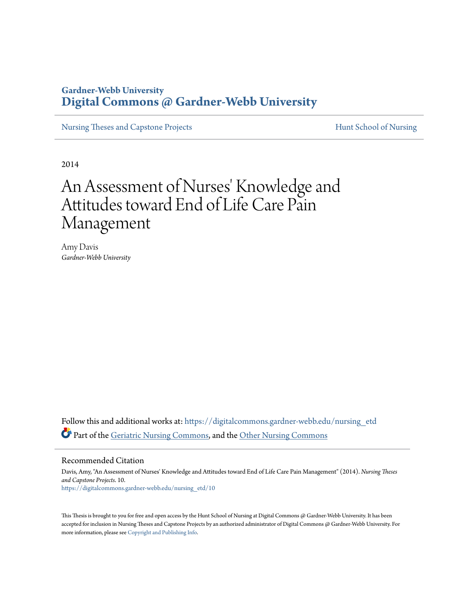# **Gardner-Webb University [Digital Commons @ Gardner-Webb University](https://digitalcommons.gardner-webb.edu?utm_source=digitalcommons.gardner-webb.edu%2Fnursing_etd%2F10&utm_medium=PDF&utm_campaign=PDFCoverPages)**

[Nursing Theses and Capstone Projects](https://digitalcommons.gardner-webb.edu/nursing_etd?utm_source=digitalcommons.gardner-webb.edu%2Fnursing_etd%2F10&utm_medium=PDF&utm_campaign=PDFCoverPages) **[Hunt School of Nursing](https://digitalcommons.gardner-webb.edu/nursing?utm_source=digitalcommons.gardner-webb.edu%2Fnursing_etd%2F10&utm_medium=PDF&utm_campaign=PDFCoverPages)** 

2014

# An Assessment of Nurses' Knowledge and Attitudes toward End of Life Care Pain Management

Amy Davis *Gardner-Webb University*

Follow this and additional works at: [https://digitalcommons.gardner-webb.edu/nursing\\_etd](https://digitalcommons.gardner-webb.edu/nursing_etd?utm_source=digitalcommons.gardner-webb.edu%2Fnursing_etd%2F10&utm_medium=PDF&utm_campaign=PDFCoverPages) Part of the [Geriatric Nursing Commons,](http://network.bepress.com/hgg/discipline/1034?utm_source=digitalcommons.gardner-webb.edu%2Fnursing_etd%2F10&utm_medium=PDF&utm_campaign=PDFCoverPages) and the [Other Nursing Commons](http://network.bepress.com/hgg/discipline/729?utm_source=digitalcommons.gardner-webb.edu%2Fnursing_etd%2F10&utm_medium=PDF&utm_campaign=PDFCoverPages)

Recommended Citation

Davis, Amy, "An Assessment of Nurses' Knowledge and Attitudes toward End of Life Care Pain Management" (2014). *Nursing Theses and Capstone Projects*. 10. [https://digitalcommons.gardner-webb.edu/nursing\\_etd/10](https://digitalcommons.gardner-webb.edu/nursing_etd/10?utm_source=digitalcommons.gardner-webb.edu%2Fnursing_etd%2F10&utm_medium=PDF&utm_campaign=PDFCoverPages)

This Thesis is brought to you for free and open access by the Hunt School of Nursing at Digital Commons @ Gardner-Webb University. It has been accepted for inclusion in Nursing Theses and Capstone Projects by an authorized administrator of Digital Commons @ Gardner-Webb University. For more information, please see [Copyright and Publishing Info](https://digitalcommons.gardner-webb.edu/copyright_publishing.html).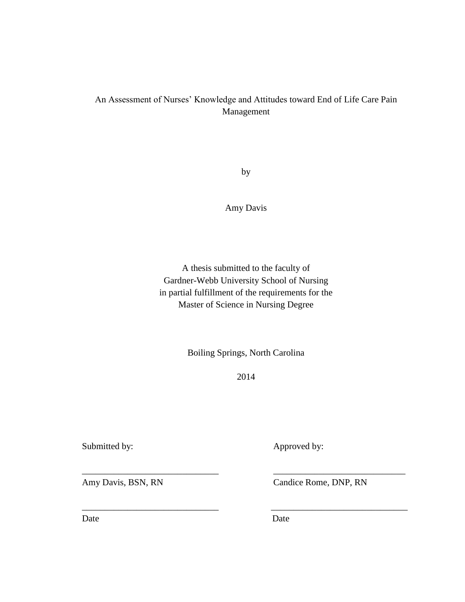## An Assessment of Nurses' Knowledge and Attitudes toward End of Life Care Pain Management

by

Amy Davis

A thesis submitted to the faculty of Gardner-Webb University School of Nursing in partial fulfillment of the requirements for the Master of Science in Nursing Degree

Boiling Springs, North Carolina

2014

\_\_\_\_\_\_\_\_\_\_\_\_\_\_\_\_\_\_\_\_\_\_\_\_\_\_\_\_\_\_ \_\_\_\_\_\_\_\_\_\_\_\_\_\_\_\_\_\_\_\_\_\_\_\_\_\_\_\_\_

\_\_\_\_\_\_\_\_\_\_\_\_\_\_\_\_\_\_\_\_\_\_\_\_\_\_\_\_\_\_ \_\_\_\_\_\_\_\_\_\_\_\_\_\_\_\_\_\_\_\_\_\_\_\_\_\_\_\_\_\_

Submitted by: <br> Approved by:

Amy Davis, BSN, RN Candice Rome, DNP, RN

Date Date Date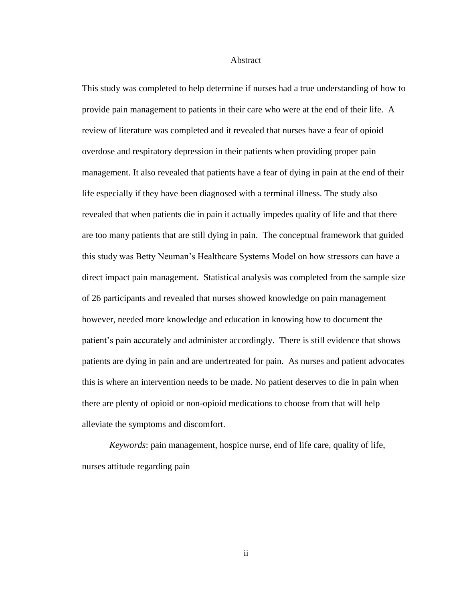#### Abstract

This study was completed to help determine if nurses had a true understanding of how to provide pain management to patients in their care who were at the end of their life. A review of literature was completed and it revealed that nurses have a fear of opioid overdose and respiratory depression in their patients when providing proper pain management. It also revealed that patients have a fear of dying in pain at the end of their life especially if they have been diagnosed with a terminal illness. The study also revealed that when patients die in pain it actually impedes quality of life and that there are too many patients that are still dying in pain. The conceptual framework that guided this study was Betty Neuman's Healthcare Systems Model on how stressors can have a direct impact pain management. Statistical analysis was completed from the sample size of 26 participants and revealed that nurses showed knowledge on pain management however, needed more knowledge and education in knowing how to document the patient's pain accurately and administer accordingly. There is still evidence that shows patients are dying in pain and are undertreated for pain. As nurses and patient advocates this is where an intervention needs to be made. No patient deserves to die in pain when there are plenty of opioid or non-opioid medications to choose from that will help alleviate the symptoms and discomfort.

*Keywords*: pain management, hospice nurse, end of life care, quality of life, nurses attitude regarding pain

ii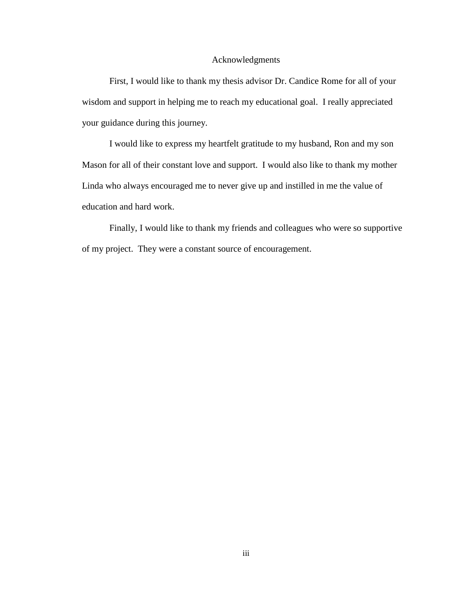#### Acknowledgments

 First, I would like to thank my thesis advisor Dr. Candice Rome for all of your wisdom and support in helping me to reach my educational goal. I really appreciated your guidance during this journey.

I would like to express my heartfelt gratitude to my husband, Ron and my son Mason for all of their constant love and support. I would also like to thank my mother Linda who always encouraged me to never give up and instilled in me the value of education and hard work.

Finally, I would like to thank my friends and colleagues who were so supportive of my project. They were a constant source of encouragement.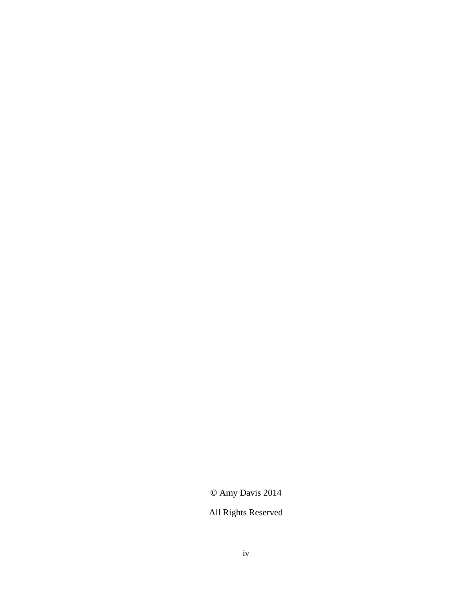# **©** Amy Davis 2014

# All Rights Reserved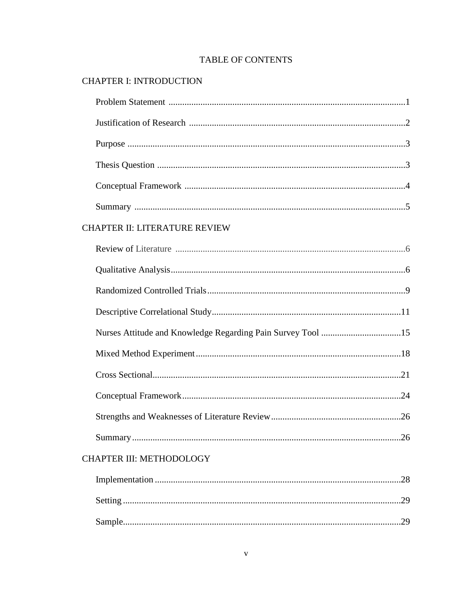### **TABLE OF CONTENTS**

# **CHAPTER I: INTRODUCTION**

| CHAPTER II: LITERATURE REVIEW |  |
|-------------------------------|--|
|                               |  |
|                               |  |
|                               |  |
|                               |  |
|                               |  |
|                               |  |
|                               |  |
|                               |  |
|                               |  |
|                               |  |
| CHAPTER III: METHODOLOGY      |  |
| .28                           |  |
|                               |  |
|                               |  |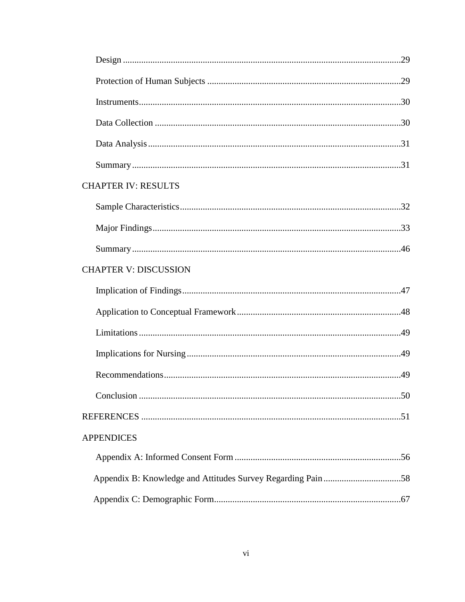| <b>CHAPTER IV: RESULTS</b>   |  |
|------------------------------|--|
|                              |  |
|                              |  |
|                              |  |
| <b>CHAPTER V: DISCUSSION</b> |  |
|                              |  |
|                              |  |
|                              |  |
|                              |  |
|                              |  |
|                              |  |
|                              |  |
| <b>APPENDICES</b>            |  |
|                              |  |
|                              |  |
|                              |  |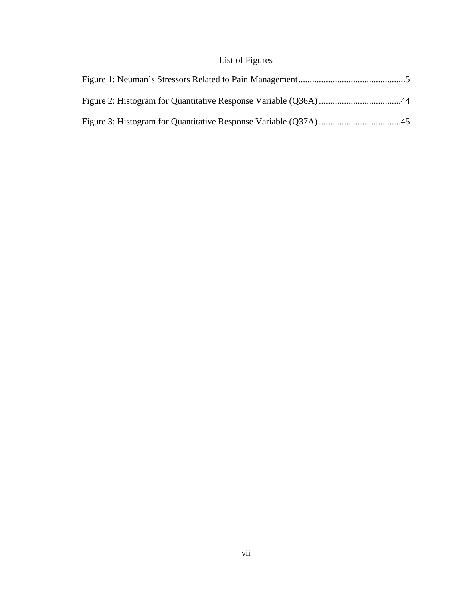# List of Figures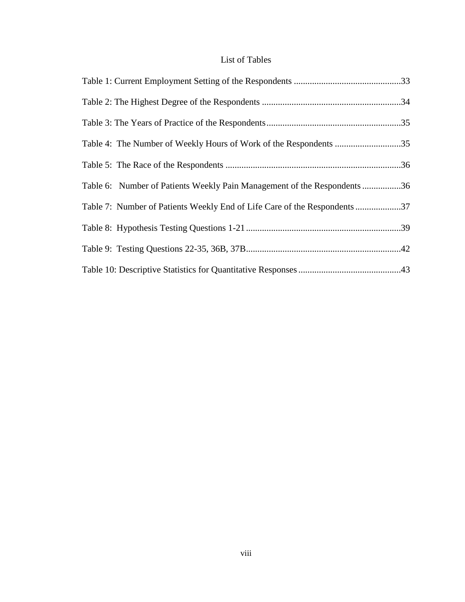### List of Tables

| Table 4: The Number of Weekly Hours of Work of the Respondents 35        |
|--------------------------------------------------------------------------|
|                                                                          |
| Table 6: Number of Patients Weekly Pain Management of the Respondents 36 |
| Table 7: Number of Patients Weekly End of Life Care of the Respondents37 |
|                                                                          |
|                                                                          |
|                                                                          |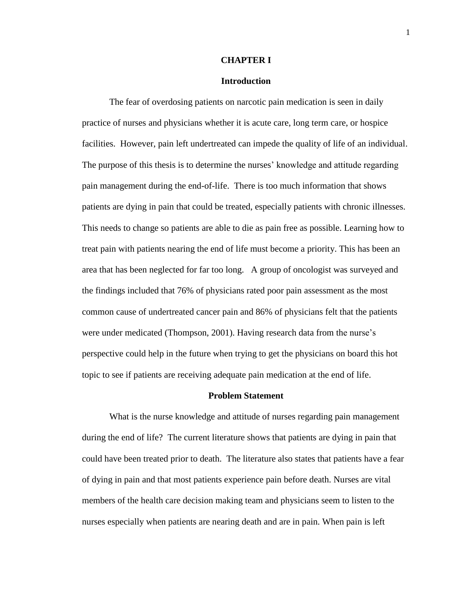#### **CHAPTER I**

#### **Introduction**

The fear of overdosing patients on narcotic pain medication is seen in daily practice of nurses and physicians whether it is acute care, long term care, or hospice facilities. However, pain left undertreated can impede the quality of life of an individual. The purpose of this thesis is to determine the nurses' knowledge and attitude regarding pain management during the end-of-life. There is too much information that shows patients are dying in pain that could be treated, especially patients with chronic illnesses. This needs to change so patients are able to die as pain free as possible. Learning how to treat pain with patients nearing the end of life must become a priority. This has been an area that has been neglected for far too long. A group of oncologist was surveyed and the findings included that 76% of physicians rated poor pain assessment as the most common cause of undertreated cancer pain and 86% of physicians felt that the patients were under medicated (Thompson, 2001). Having research data from the nurse's perspective could help in the future when trying to get the physicians on board this hot topic to see if patients are receiving adequate pain medication at the end of life.

#### **Problem Statement**

What is the nurse knowledge and attitude of nurses regarding pain management during the end of life? The current literature shows that patients are dying in pain that could have been treated prior to death. The literature also states that patients have a fear of dying in pain and that most patients experience pain before death. Nurses are vital members of the health care decision making team and physicians seem to listen to the nurses especially when patients are nearing death and are in pain. When pain is left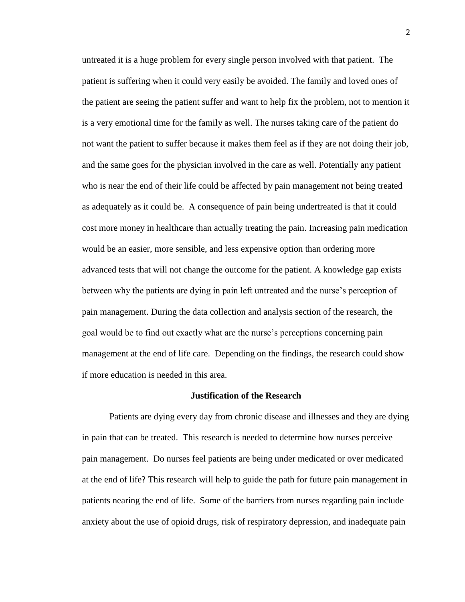untreated it is a huge problem for every single person involved with that patient. The patient is suffering when it could very easily be avoided. The family and loved ones of the patient are seeing the patient suffer and want to help fix the problem, not to mention it is a very emotional time for the family as well. The nurses taking care of the patient do not want the patient to suffer because it makes them feel as if they are not doing their job, and the same goes for the physician involved in the care as well. Potentially any patient who is near the end of their life could be affected by pain management not being treated as adequately as it could be. A consequence of pain being undertreated is that it could cost more money in healthcare than actually treating the pain. Increasing pain medication would be an easier, more sensible, and less expensive option than ordering more advanced tests that will not change the outcome for the patient. A knowledge gap exists between why the patients are dying in pain left untreated and the nurse's perception of pain management. During the data collection and analysis section of the research, the goal would be to find out exactly what are the nurse's perceptions concerning pain management at the end of life care. Depending on the findings, the research could show if more education is needed in this area.

#### **Justification of the Research**

Patients are dying every day from chronic disease and illnesses and they are dying in pain that can be treated. This research is needed to determine how nurses perceive pain management. Do nurses feel patients are being under medicated or over medicated at the end of life? This research will help to guide the path for future pain management in patients nearing the end of life. Some of the barriers from nurses regarding pain include anxiety about the use of opioid drugs, risk of respiratory depression, and inadequate pain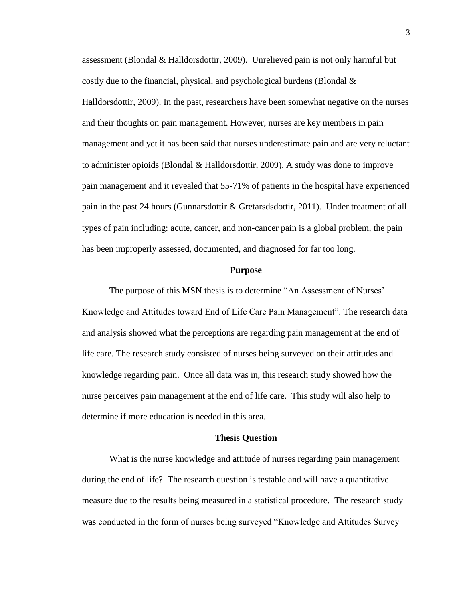assessment (Blondal & Halldorsdottir, 2009). Unrelieved pain is not only harmful but costly due to the financial, physical, and psychological burdens (Blondal & Halldorsdottir, 2009). In the past, researchers have been somewhat negative on the nurses and their thoughts on pain management. However, nurses are key members in pain management and yet it has been said that nurses underestimate pain and are very reluctant to administer opioids (Blondal & Halldorsdottir, 2009). A study was done to improve pain management and it revealed that 55-71% of patients in the hospital have experienced pain in the past 24 hours (Gunnarsdottir & Gretarsdsdottir, 2011). Under treatment of all types of pain including: acute, cancer, and non-cancer pain is a global problem, the pain has been improperly assessed, documented, and diagnosed for far too long.

#### **Purpose**

The purpose of this MSN thesis is to determine "An Assessment of Nurses' Knowledge and Attitudes toward End of Life Care Pain Management". The research data and analysis showed what the perceptions are regarding pain management at the end of life care. The research study consisted of nurses being surveyed on their attitudes and knowledge regarding pain. Once all data was in, this research study showed how the nurse perceives pain management at the end of life care. This study will also help to determine if more education is needed in this area.

#### **Thesis Question**

What is the nurse knowledge and attitude of nurses regarding pain management during the end of life? The research question is testable and will have a quantitative measure due to the results being measured in a statistical procedure. The research study was conducted in the form of nurses being surveyed "Knowledge and Attitudes Survey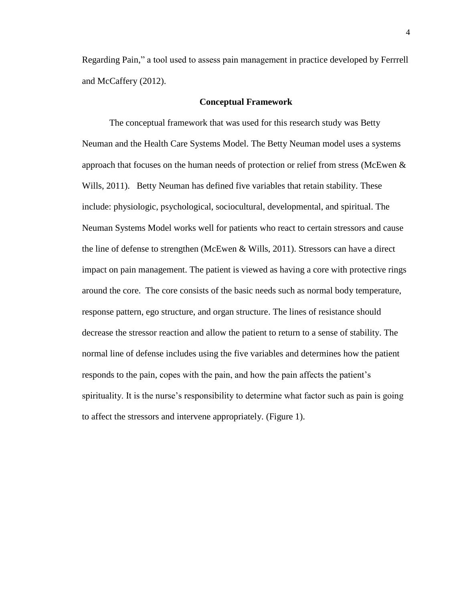Regarding Pain," a tool used to assess pain management in practice developed by Ferrrell and McCaffery (2012).

#### **Conceptual Framework**

The conceptual framework that was used for this research study was Betty Neuman and the Health Care Systems Model. The Betty Neuman model uses a systems approach that focuses on the human needs of protection or relief from stress (McEwen  $\&$ Wills, 2011). Betty Neuman has defined five variables that retain stability. These include: physiologic, psychological, sociocultural, developmental, and spiritual. The Neuman Systems Model works well for patients who react to certain stressors and cause the line of defense to strengthen (McEwen & Wills, 2011). Stressors can have a direct impact on pain management. The patient is viewed as having a core with protective rings around the core. The core consists of the basic needs such as normal body temperature, response pattern, ego structure, and organ structure. The lines of resistance should decrease the stressor reaction and allow the patient to return to a sense of stability. The normal line of defense includes using the five variables and determines how the patient responds to the pain, copes with the pain, and how the pain affects the patient's spirituality. It is the nurse's responsibility to determine what factor such as pain is going to affect the stressors and intervene appropriately. (Figure 1).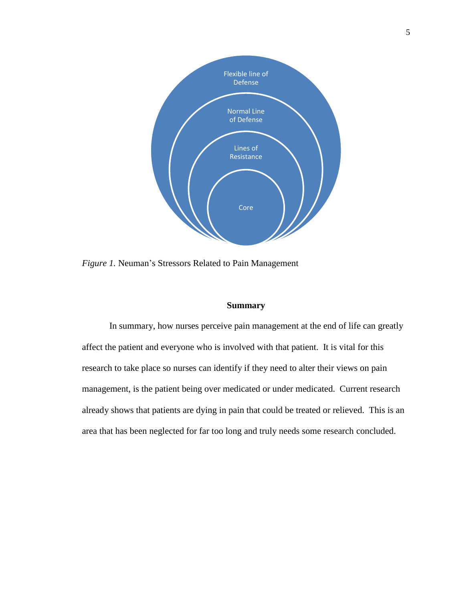

*Figure 1.* Neuman's Stressors Related to Pain Management

#### **Summary**

In summary, how nurses perceive pain management at the end of life can greatly affect the patient and everyone who is involved with that patient. It is vital for this research to take place so nurses can identify if they need to alter their views on pain management, is the patient being over medicated or under medicated. Current research already shows that patients are dying in pain that could be treated or relieved. This is an area that has been neglected for far too long and truly needs some research concluded.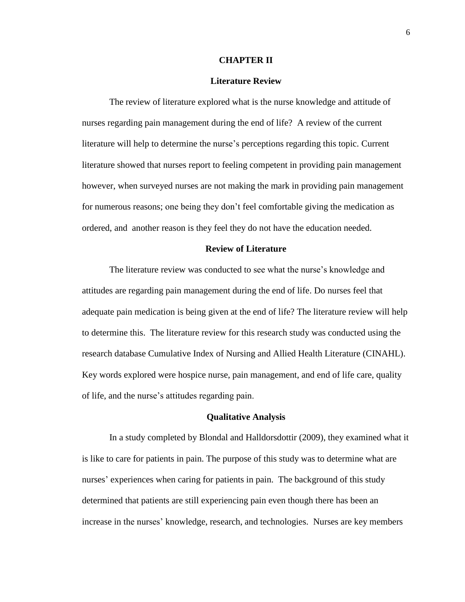#### **CHAPTER II**

#### **Literature Review**

The review of literature explored what is the nurse knowledge and attitude of nurses regarding pain management during the end of life? A review of the current literature will help to determine the nurse's perceptions regarding this topic. Current literature showed that nurses report to feeling competent in providing pain management however, when surveyed nurses are not making the mark in providing pain management for numerous reasons; one being they don't feel comfortable giving the medication as ordered, and another reason is they feel they do not have the education needed.

#### **Review of Literature**

The literature review was conducted to see what the nurse's knowledge and attitudes are regarding pain management during the end of life. Do nurses feel that adequate pain medication is being given at the end of life? The literature review will help to determine this. The literature review for this research study was conducted using the research database Cumulative Index of Nursing and Allied Health Literature (CINAHL). Key words explored were hospice nurse, pain management, and end of life care, quality of life, and the nurse's attitudes regarding pain.

#### **Qualitative Analysis**

In a study completed by Blondal and Halldorsdottir (2009), they examined what it is like to care for patients in pain. The purpose of this study was to determine what are nurses' experiences when caring for patients in pain. The background of this study determined that patients are still experiencing pain even though there has been an increase in the nurses' knowledge, research, and technologies. Nurses are key members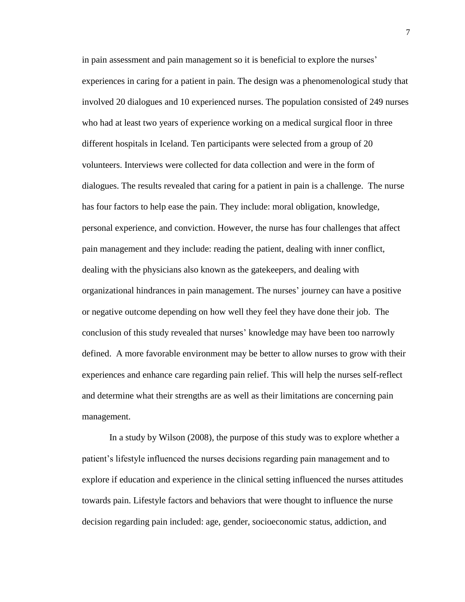in pain assessment and pain management so it is beneficial to explore the nurses' experiences in caring for a patient in pain. The design was a phenomenological study that involved 20 dialogues and 10 experienced nurses. The population consisted of 249 nurses who had at least two years of experience working on a medical surgical floor in three different hospitals in Iceland. Ten participants were selected from a group of 20 volunteers. Interviews were collected for data collection and were in the form of dialogues. The results revealed that caring for a patient in pain is a challenge. The nurse has four factors to help ease the pain. They include: moral obligation, knowledge, personal experience, and conviction. However, the nurse has four challenges that affect pain management and they include: reading the patient, dealing with inner conflict, dealing with the physicians also known as the gatekeepers, and dealing with organizational hindrances in pain management. The nurses' journey can have a positive or negative outcome depending on how well they feel they have done their job. The conclusion of this study revealed that nurses' knowledge may have been too narrowly defined. A more favorable environment may be better to allow nurses to grow with their experiences and enhance care regarding pain relief. This will help the nurses self-reflect and determine what their strengths are as well as their limitations are concerning pain management.

In a study by Wilson (2008), the purpose of this study was to explore whether a patient's lifestyle influenced the nurses decisions regarding pain management and to explore if education and experience in the clinical setting influenced the nurses attitudes towards pain. Lifestyle factors and behaviors that were thought to influence the nurse decision regarding pain included: age, gender, socioeconomic status, addiction, and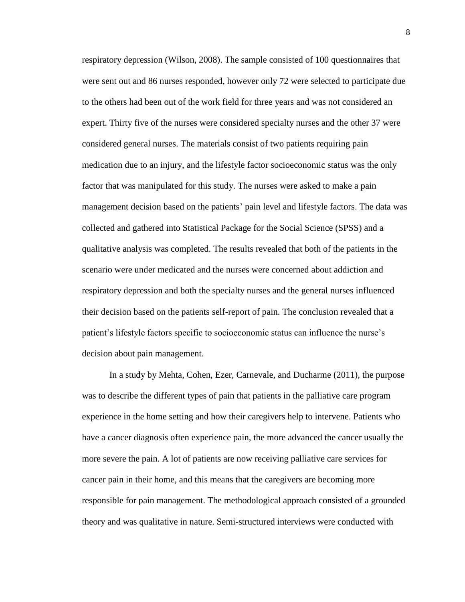respiratory depression (Wilson, 2008). The sample consisted of 100 questionnaires that were sent out and 86 nurses responded, however only 72 were selected to participate due to the others had been out of the work field for three years and was not considered an expert. Thirty five of the nurses were considered specialty nurses and the other 37 were considered general nurses. The materials consist of two patients requiring pain medication due to an injury, and the lifestyle factor socioeconomic status was the only factor that was manipulated for this study. The nurses were asked to make a pain management decision based on the patients' pain level and lifestyle factors. The data was collected and gathered into Statistical Package for the Social Science (SPSS) and a qualitative analysis was completed. The results revealed that both of the patients in the scenario were under medicated and the nurses were concerned about addiction and respiratory depression and both the specialty nurses and the general nurses influenced their decision based on the patients self-report of pain. The conclusion revealed that a patient's lifestyle factors specific to socioeconomic status can influence the nurse's decision about pain management.

In a study by Mehta, Cohen, Ezer, Carnevale, and Ducharme (2011), the purpose was to describe the different types of pain that patients in the palliative care program experience in the home setting and how their caregivers help to intervene. Patients who have a cancer diagnosis often experience pain, the more advanced the cancer usually the more severe the pain. A lot of patients are now receiving palliative care services for cancer pain in their home, and this means that the caregivers are becoming more responsible for pain management. The methodological approach consisted of a grounded theory and was qualitative in nature. Semi-structured interviews were conducted with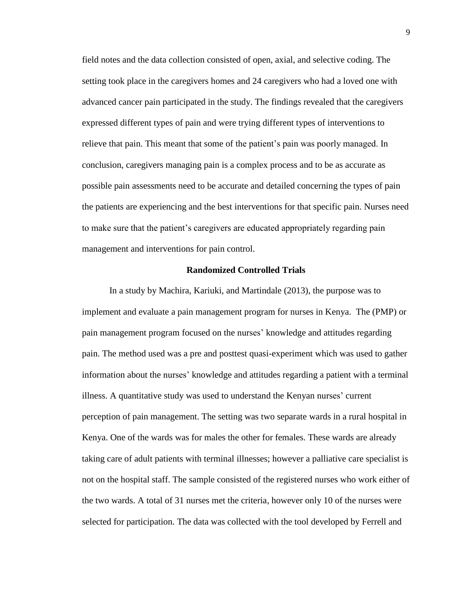field notes and the data collection consisted of open, axial, and selective coding. The setting took place in the caregivers homes and 24 caregivers who had a loved one with advanced cancer pain participated in the study. The findings revealed that the caregivers expressed different types of pain and were trying different types of interventions to relieve that pain. This meant that some of the patient's pain was poorly managed. In conclusion, caregivers managing pain is a complex process and to be as accurate as possible pain assessments need to be accurate and detailed concerning the types of pain the patients are experiencing and the best interventions for that specific pain. Nurses need to make sure that the patient's caregivers are educated appropriately regarding pain management and interventions for pain control.

#### **Randomized Controlled Trials**

In a study by Machira, Kariuki, and Martindale (2013), the purpose was to implement and evaluate a pain management program for nurses in Kenya. The (PMP) or pain management program focused on the nurses' knowledge and attitudes regarding pain. The method used was a pre and posttest quasi-experiment which was used to gather information about the nurses' knowledge and attitudes regarding a patient with a terminal illness. A quantitative study was used to understand the Kenyan nurses' current perception of pain management. The setting was two separate wards in a rural hospital in Kenya. One of the wards was for males the other for females. These wards are already taking care of adult patients with terminal illnesses; however a palliative care specialist is not on the hospital staff. The sample consisted of the registered nurses who work either of the two wards. A total of 31 nurses met the criteria, however only 10 of the nurses were selected for participation. The data was collected with the tool developed by Ferrell and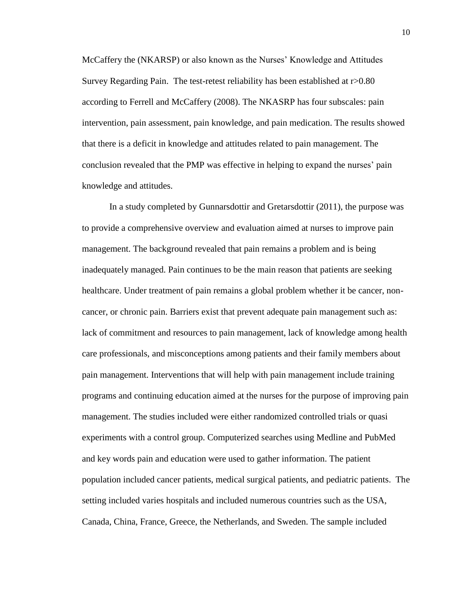McCaffery the (NKARSP) or also known as the Nurses' Knowledge and Attitudes Survey Regarding Pain. The test-retest reliability has been established at r>0.80 according to Ferrell and McCaffery (2008). The NKASRP has four subscales: pain intervention, pain assessment, pain knowledge, and pain medication. The results showed that there is a deficit in knowledge and attitudes related to pain management. The conclusion revealed that the PMP was effective in helping to expand the nurses' pain knowledge and attitudes.

In a study completed by Gunnarsdottir and Gretarsdottir (2011), the purpose was to provide a comprehensive overview and evaluation aimed at nurses to improve pain management. The background revealed that pain remains a problem and is being inadequately managed. Pain continues to be the main reason that patients are seeking healthcare. Under treatment of pain remains a global problem whether it be cancer, noncancer, or chronic pain. Barriers exist that prevent adequate pain management such as: lack of commitment and resources to pain management, lack of knowledge among health care professionals, and misconceptions among patients and their family members about pain management. Interventions that will help with pain management include training programs and continuing education aimed at the nurses for the purpose of improving pain management. The studies included were either randomized controlled trials or quasi experiments with a control group. Computerized searches using Medline and PubMed and key words pain and education were used to gather information. The patient population included cancer patients, medical surgical patients, and pediatric patients. The setting included varies hospitals and included numerous countries such as the USA, Canada, China, France, Greece, the Netherlands, and Sweden. The sample included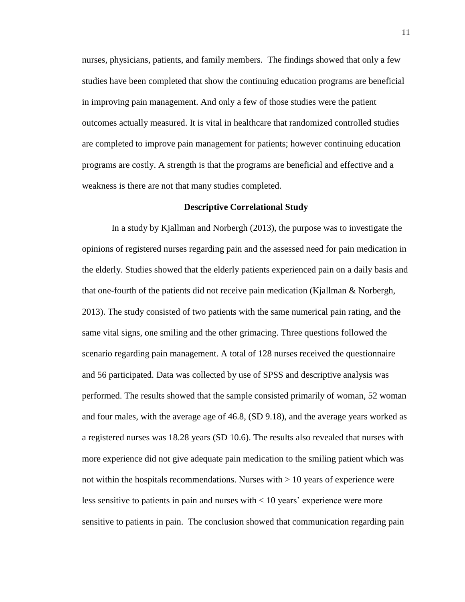nurses, physicians, patients, and family members. The findings showed that only a few studies have been completed that show the continuing education programs are beneficial in improving pain management. And only a few of those studies were the patient outcomes actually measured. It is vital in healthcare that randomized controlled studies are completed to improve pain management for patients; however continuing education programs are costly. A strength is that the programs are beneficial and effective and a weakness is there are not that many studies completed.

#### **Descriptive Correlational Study**

In a study by Kjallman and Norbergh (2013), the purpose was to investigate the opinions of registered nurses regarding pain and the assessed need for pain medication in the elderly. Studies showed that the elderly patients experienced pain on a daily basis and that one-fourth of the patients did not receive pain medication (Kjallman & Norbergh, 2013). The study consisted of two patients with the same numerical pain rating, and the same vital signs, one smiling and the other grimacing. Three questions followed the scenario regarding pain management. A total of 128 nurses received the questionnaire and 56 participated. Data was collected by use of SPSS and descriptive analysis was performed. The results showed that the sample consisted primarily of woman, 52 woman and four males, with the average age of 46.8, (SD 9.18), and the average years worked as a registered nurses was 18.28 years (SD 10.6). The results also revealed that nurses with more experience did not give adequate pain medication to the smiling patient which was not within the hospitals recommendations. Nurses with  $> 10$  years of experience were less sensitive to patients in pain and nurses with < 10 years' experience were more sensitive to patients in pain. The conclusion showed that communication regarding pain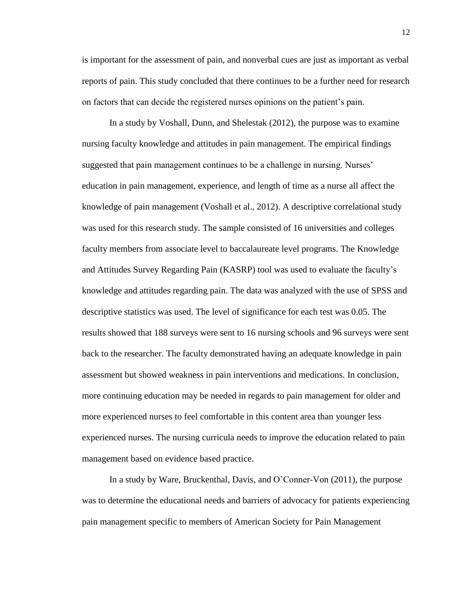is important for the assessment of pain, and nonverbal cues are just as important as verbal reports of pain. This study concluded that there continues to be a further need for research on factors that can decide the registered nurses opinions on the patient's pain.

In a study by Voshall, Dunn, and Shelestak (2012), the purpose was to examine nursing faculty knowledge and attitudes in pain management. The empirical findings suggested that pain management continues to be a challenge in nursing. Nurses' education in pain management, experience, and length of time as a nurse all affect the knowledge of pain management (Voshall et al., 2012). A descriptive correlational study was used for this research study. The sample consisted of 16 universities and colleges faculty members from associate level to baccalaureate level programs. The Knowledge and Attitudes Survey Regarding Pain (KASRP) tool was used to evaluate the faculty's knowledge and attitudes regarding pain. The data was analyzed with the use of SPSS and descriptive statistics was used. The level of significance for each test was 0.05. The results showed that 188 surveys were sent to 16 nursing schools and 96 surveys were sent back to the researcher. The faculty demonstrated having an adequate knowledge in pain assessment but showed weakness in pain interventions and medications. In conclusion, more continuing education may be needed in regards to pain management for older and more experienced nurses to feel comfortable in this content area than younger less experienced nurses. The nursing curricula needs to improve the education related to pain management based on evidence based practice.

In a study by Ware, Bruckenthal, Davis, and O'Conner-Von (2011), the purpose was to determine the educational needs and barriers of advocacy for patients experiencing pain management specific to members of American Society for Pain Management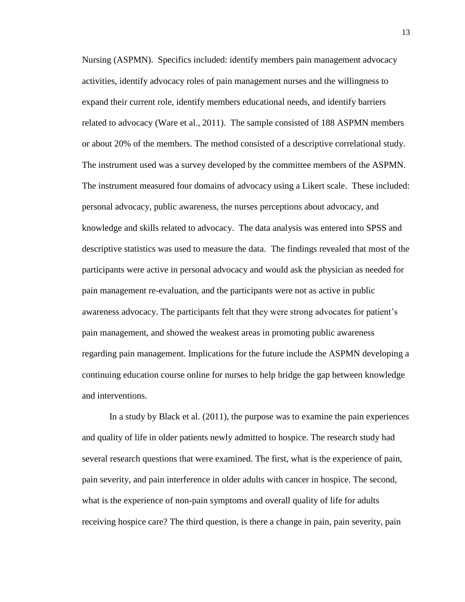Nursing (ASPMN). Specifics included: identify members pain management advocacy activities, identify advocacy roles of pain management nurses and the willingness to expand their current role, identify members educational needs, and identify barriers related to advocacy (Ware et al., 2011). The sample consisted of 188 ASPMN members or about 20% of the members. The method consisted of a descriptive correlational study. The instrument used was a survey developed by the committee members of the ASPMN. The instrument measured four domains of advocacy using a Likert scale. These included: personal advocacy, public awareness, the nurses perceptions about advocacy, and knowledge and skills related to advocacy. The data analysis was entered into SPSS and descriptive statistics was used to measure the data. The findings revealed that most of the participants were active in personal advocacy and would ask the physician as needed for pain management re-evaluation, and the participants were not as active in public awareness advocacy. The participants felt that they were strong advocates for patient's pain management, and showed the weakest areas in promoting public awareness regarding pain management. Implications for the future include the ASPMN developing a continuing education course online for nurses to help bridge the gap between knowledge and interventions.

In a study by Black et al. (2011), the purpose was to examine the pain experiences and quality of life in older patients newly admitted to hospice. The research study had several research questions that were examined. The first, what is the experience of pain, pain severity, and pain interference in older adults with cancer in hospice. The second, what is the experience of non-pain symptoms and overall quality of life for adults receiving hospice care? The third question, is there a change in pain, pain severity, pain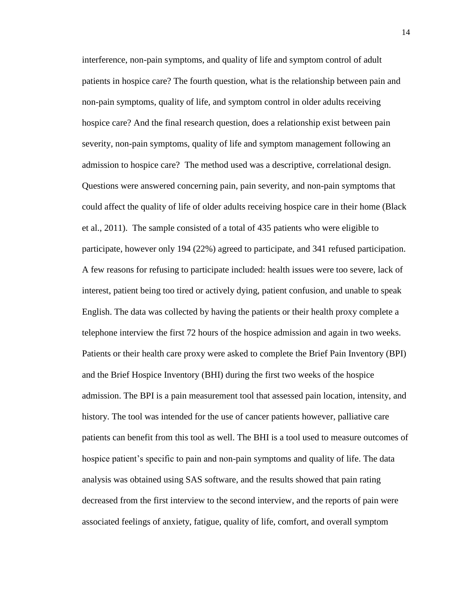interference, non-pain symptoms, and quality of life and symptom control of adult patients in hospice care? The fourth question, what is the relationship between pain and non-pain symptoms, quality of life, and symptom control in older adults receiving hospice care? And the final research question, does a relationship exist between pain severity, non-pain symptoms, quality of life and symptom management following an admission to hospice care? The method used was a descriptive, correlational design. Questions were answered concerning pain, pain severity, and non-pain symptoms that could affect the quality of life of older adults receiving hospice care in their home (Black et al., 2011). The sample consisted of a total of 435 patients who were eligible to participate, however only 194 (22%) agreed to participate, and 341 refused participation. A few reasons for refusing to participate included: health issues were too severe, lack of interest, patient being too tired or actively dying, patient confusion, and unable to speak English. The data was collected by having the patients or their health proxy complete a telephone interview the first 72 hours of the hospice admission and again in two weeks. Patients or their health care proxy were asked to complete the Brief Pain Inventory (BPI) and the Brief Hospice Inventory (BHI) during the first two weeks of the hospice admission. The BPI is a pain measurement tool that assessed pain location, intensity, and history. The tool was intended for the use of cancer patients however, palliative care patients can benefit from this tool as well. The BHI is a tool used to measure outcomes of hospice patient's specific to pain and non-pain symptoms and quality of life. The data analysis was obtained using SAS software, and the results showed that pain rating decreased from the first interview to the second interview, and the reports of pain were associated feelings of anxiety, fatigue, quality of life, comfort, and overall symptom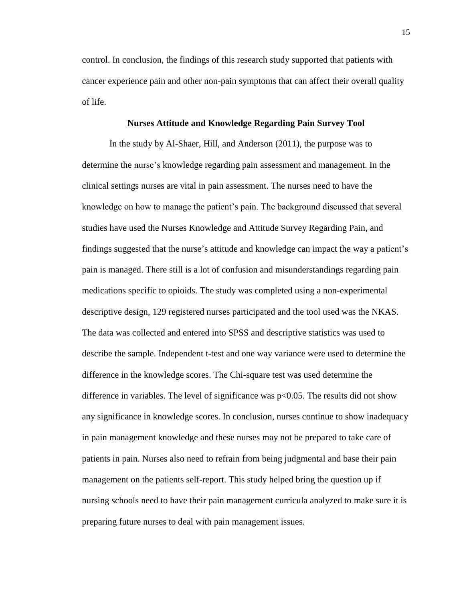control. In conclusion, the findings of this research study supported that patients with cancer experience pain and other non-pain symptoms that can affect their overall quality of life.

#### **Nurses Attitude and Knowledge Regarding Pain Survey Tool**

In the study by Al-Shaer, Hill, and Anderson (2011), the purpose was to determine the nurse's knowledge regarding pain assessment and management. In the clinical settings nurses are vital in pain assessment. The nurses need to have the knowledge on how to manage the patient's pain. The background discussed that several studies have used the Nurses Knowledge and Attitude Survey Regarding Pain, and findings suggested that the nurse's attitude and knowledge can impact the way a patient's pain is managed. There still is a lot of confusion and misunderstandings regarding pain medications specific to opioids. The study was completed using a non-experimental descriptive design, 129 registered nurses participated and the tool used was the NKAS. The data was collected and entered into SPSS and descriptive statistics was used to describe the sample. Independent t-test and one way variance were used to determine the difference in the knowledge scores. The Chi-square test was used determine the difference in variables. The level of significance was p<0.05. The results did not show any significance in knowledge scores. In conclusion, nurses continue to show inadequacy in pain management knowledge and these nurses may not be prepared to take care of patients in pain. Nurses also need to refrain from being judgmental and base their pain management on the patients self-report. This study helped bring the question up if nursing schools need to have their pain management curricula analyzed to make sure it is preparing future nurses to deal with pain management issues.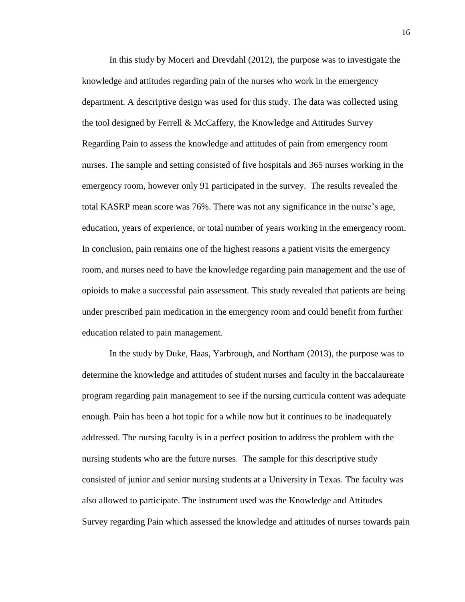In this study by Moceri and Drevdahl (2012), the purpose was to investigate the knowledge and attitudes regarding pain of the nurses who work in the emergency department. A descriptive design was used for this study. The data was collected using the tool designed by Ferrell & McCaffery, the Knowledge and Attitudes Survey Regarding Pain to assess the knowledge and attitudes of pain from emergency room nurses. The sample and setting consisted of five hospitals and 365 nurses working in the emergency room, however only 91 participated in the survey. The results revealed the total KASRP mean score was 76%. There was not any significance in the nurse's age, education, years of experience, or total number of years working in the emergency room. In conclusion, pain remains one of the highest reasons a patient visits the emergency room, and nurses need to have the knowledge regarding pain management and the use of opioids to make a successful pain assessment. This study revealed that patients are being under prescribed pain medication in the emergency room and could benefit from further education related to pain management.

In the study by Duke, Haas, Yarbrough, and Northam (2013), the purpose was to determine the knowledge and attitudes of student nurses and faculty in the baccalaureate program regarding pain management to see if the nursing curricula content was adequate enough. Pain has been a hot topic for a while now but it continues to be inadequately addressed. The nursing faculty is in a perfect position to address the problem with the nursing students who are the future nurses. The sample for this descriptive study consisted of junior and senior nursing students at a University in Texas. The faculty was also allowed to participate. The instrument used was the Knowledge and Attitudes Survey regarding Pain which assessed the knowledge and attitudes of nurses towards pain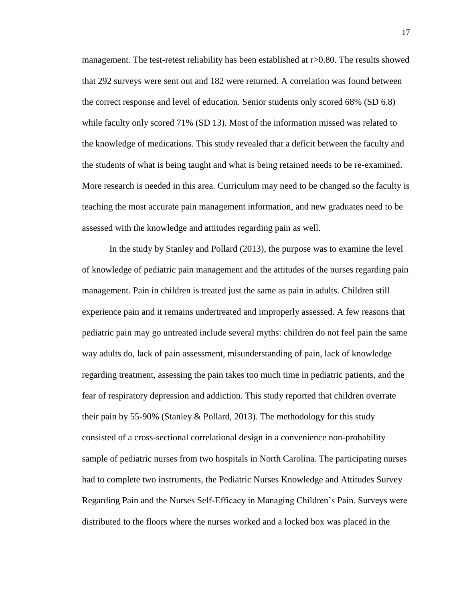management. The test-retest reliability has been established at r>0.80. The results showed that 292 surveys were sent out and 182 were returned. A correlation was found between the correct response and level of education. Senior students only scored 68% (SD 6.8) while faculty only scored 71% (SD 13). Most of the information missed was related to the knowledge of medications. This study revealed that a deficit between the faculty and the students of what is being taught and what is being retained needs to be re-examined. More research is needed in this area. Curriculum may need to be changed so the faculty is teaching the most accurate pain management information, and new graduates need to be assessed with the knowledge and attitudes regarding pain as well.

In the study by Stanley and Pollard (2013), the purpose was to examine the level of knowledge of pediatric pain management and the attitudes of the nurses regarding pain management. Pain in children is treated just the same as pain in adults. Children still experience pain and it remains undertreated and improperly assessed. A few reasons that pediatric pain may go untreated include several myths: children do not feel pain the same way adults do, lack of pain assessment, misunderstanding of pain, lack of knowledge regarding treatment, assessing the pain takes too much time in pediatric patients, and the fear of respiratory depression and addiction. This study reported that children overrate their pain by 55-90% (Stanley & Pollard, 2013). The methodology for this study consisted of a cross-sectional correlational design in a convenience non-probability sample of pediatric nurses from two hospitals in North Carolina. The participating nurses had to complete two instruments, the Pediatric Nurses Knowledge and Attitudes Survey Regarding Pain and the Nurses Self-Efficacy in Managing Children's Pain. Surveys were distributed to the floors where the nurses worked and a locked box was placed in the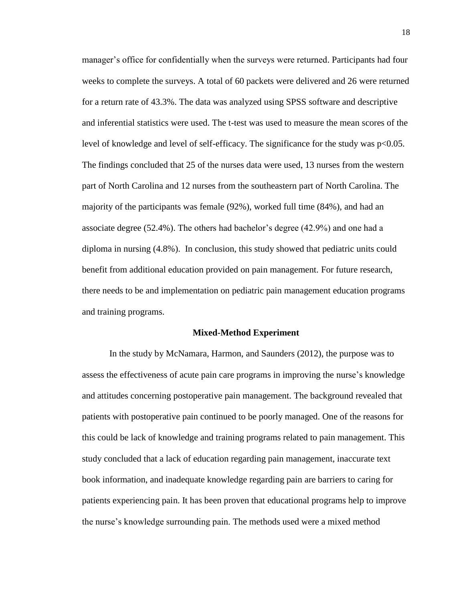manager's office for confidentially when the surveys were returned. Participants had four weeks to complete the surveys. A total of 60 packets were delivered and 26 were returned for a return rate of 43.3%. The data was analyzed using SPSS software and descriptive and inferential statistics were used. The t-test was used to measure the mean scores of the level of knowledge and level of self-efficacy. The significance for the study was p<0.05. The findings concluded that 25 of the nurses data were used, 13 nurses from the western part of North Carolina and 12 nurses from the southeastern part of North Carolina. The majority of the participants was female (92%), worked full time (84%), and had an associate degree (52.4%). The others had bachelor's degree (42.9%) and one had a diploma in nursing (4.8%). In conclusion, this study showed that pediatric units could benefit from additional education provided on pain management. For future research, there needs to be and implementation on pediatric pain management education programs and training programs.

#### **Mixed-Method Experiment**

In the study by McNamara, Harmon, and Saunders (2012), the purpose was to assess the effectiveness of acute pain care programs in improving the nurse's knowledge and attitudes concerning postoperative pain management. The background revealed that patients with postoperative pain continued to be poorly managed. One of the reasons for this could be lack of knowledge and training programs related to pain management. This study concluded that a lack of education regarding pain management, inaccurate text book information, and inadequate knowledge regarding pain are barriers to caring for patients experiencing pain. It has been proven that educational programs help to improve the nurse's knowledge surrounding pain. The methods used were a mixed method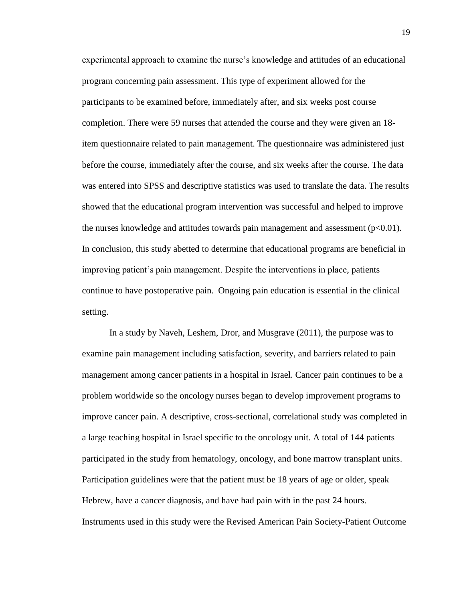experimental approach to examine the nurse's knowledge and attitudes of an educational program concerning pain assessment. This type of experiment allowed for the participants to be examined before, immediately after, and six weeks post course completion. There were 59 nurses that attended the course and they were given an 18 item questionnaire related to pain management. The questionnaire was administered just before the course, immediately after the course, and six weeks after the course. The data was entered into SPSS and descriptive statistics was used to translate the data. The results showed that the educational program intervention was successful and helped to improve the nurses knowledge and attitudes towards pain management and assessment  $(p<0.01)$ . In conclusion, this study abetted to determine that educational programs are beneficial in improving patient's pain management. Despite the interventions in place, patients continue to have postoperative pain. Ongoing pain education is essential in the clinical setting.

In a study by Naveh, Leshem, Dror, and Musgrave (2011), the purpose was to examine pain management including satisfaction, severity, and barriers related to pain management among cancer patients in a hospital in Israel. Cancer pain continues to be a problem worldwide so the oncology nurses began to develop improvement programs to improve cancer pain. A descriptive, cross-sectional, correlational study was completed in a large teaching hospital in Israel specific to the oncology unit. A total of 144 patients participated in the study from hematology, oncology, and bone marrow transplant units. Participation guidelines were that the patient must be 18 years of age or older, speak Hebrew, have a cancer diagnosis, and have had pain with in the past 24 hours. Instruments used in this study were the Revised American Pain Society-Patient Outcome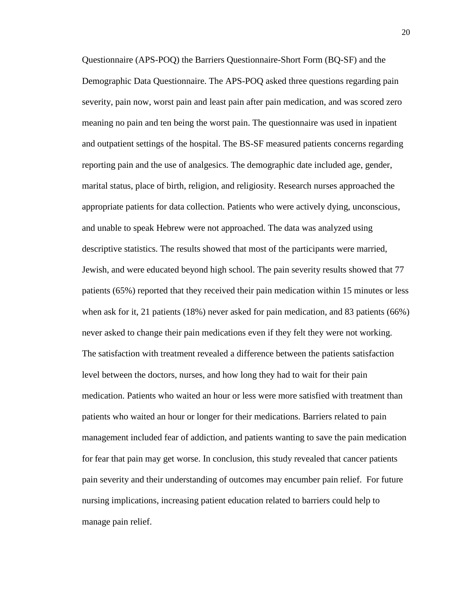Questionnaire (APS-POQ) the Barriers Questionnaire-Short Form (BQ-SF) and the Demographic Data Questionnaire. The APS-POQ asked three questions regarding pain severity, pain now, worst pain and least pain after pain medication, and was scored zero meaning no pain and ten being the worst pain. The questionnaire was used in inpatient and outpatient settings of the hospital. The BS-SF measured patients concerns regarding reporting pain and the use of analgesics. The demographic date included age, gender, marital status, place of birth, religion, and religiosity. Research nurses approached the appropriate patients for data collection. Patients who were actively dying, unconscious, and unable to speak Hebrew were not approached. The data was analyzed using descriptive statistics. The results showed that most of the participants were married, Jewish, and were educated beyond high school. The pain severity results showed that 77 patients (65%) reported that they received their pain medication within 15 minutes or less when ask for it, 21 patients (18%) never asked for pain medication, and 83 patients (66%) never asked to change their pain medications even if they felt they were not working. The satisfaction with treatment revealed a difference between the patients satisfaction level between the doctors, nurses, and how long they had to wait for their pain medication. Patients who waited an hour or less were more satisfied with treatment than patients who waited an hour or longer for their medications. Barriers related to pain management included fear of addiction, and patients wanting to save the pain medication for fear that pain may get worse. In conclusion, this study revealed that cancer patients pain severity and their understanding of outcomes may encumber pain relief. For future nursing implications, increasing patient education related to barriers could help to manage pain relief.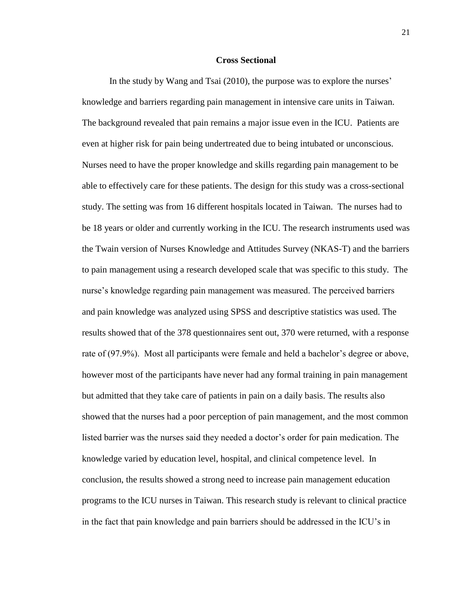#### **Cross Sectional**

In the study by Wang and Tsai (2010), the purpose was to explore the nurses' knowledge and barriers regarding pain management in intensive care units in Taiwan. The background revealed that pain remains a major issue even in the ICU. Patients are even at higher risk for pain being undertreated due to being intubated or unconscious. Nurses need to have the proper knowledge and skills regarding pain management to be able to effectively care for these patients. The design for this study was a cross-sectional study. The setting was from 16 different hospitals located in Taiwan. The nurses had to be 18 years or older and currently working in the ICU. The research instruments used was the Twain version of Nurses Knowledge and Attitudes Survey (NKAS-T) and the barriers to pain management using a research developed scale that was specific to this study. The nurse's knowledge regarding pain management was measured. The perceived barriers and pain knowledge was analyzed using SPSS and descriptive statistics was used. The results showed that of the 378 questionnaires sent out, 370 were returned, with a response rate of (97.9%). Most all participants were female and held a bachelor's degree or above, however most of the participants have never had any formal training in pain management but admitted that they take care of patients in pain on a daily basis. The results also showed that the nurses had a poor perception of pain management, and the most common listed barrier was the nurses said they needed a doctor's order for pain medication. The knowledge varied by education level, hospital, and clinical competence level. In conclusion, the results showed a strong need to increase pain management education programs to the ICU nurses in Taiwan. This research study is relevant to clinical practice in the fact that pain knowledge and pain barriers should be addressed in the ICU's in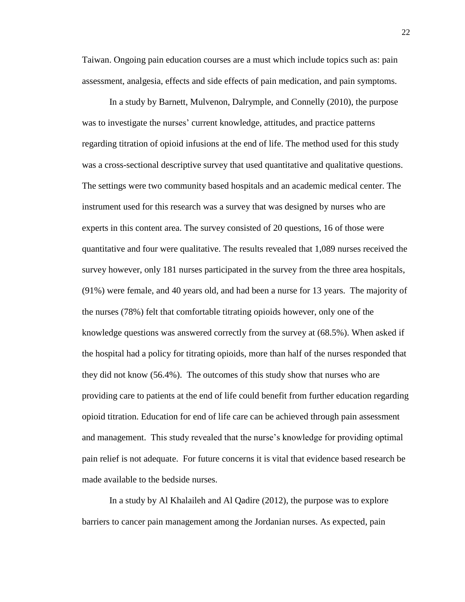Taiwan. Ongoing pain education courses are a must which include topics such as: pain assessment, analgesia, effects and side effects of pain medication, and pain symptoms.

In a study by Barnett, Mulvenon, Dalrymple, and Connelly (2010), the purpose was to investigate the nurses' current knowledge, attitudes, and practice patterns regarding titration of opioid infusions at the end of life. The method used for this study was a cross-sectional descriptive survey that used quantitative and qualitative questions. The settings were two community based hospitals and an academic medical center. The instrument used for this research was a survey that was designed by nurses who are experts in this content area. The survey consisted of 20 questions, 16 of those were quantitative and four were qualitative. The results revealed that 1,089 nurses received the survey however, only 181 nurses participated in the survey from the three area hospitals, (91%) were female, and 40 years old, and had been a nurse for 13 years. The majority of the nurses (78%) felt that comfortable titrating opioids however, only one of the knowledge questions was answered correctly from the survey at (68.5%). When asked if the hospital had a policy for titrating opioids, more than half of the nurses responded that they did not know (56.4%). The outcomes of this study show that nurses who are providing care to patients at the end of life could benefit from further education regarding opioid titration. Education for end of life care can be achieved through pain assessment and management. This study revealed that the nurse's knowledge for providing optimal pain relief is not adequate. For future concerns it is vital that evidence based research be made available to the bedside nurses.

In a study by Al Khalaileh and Al Qadire (2012), the purpose was to explore barriers to cancer pain management among the Jordanian nurses. As expected, pain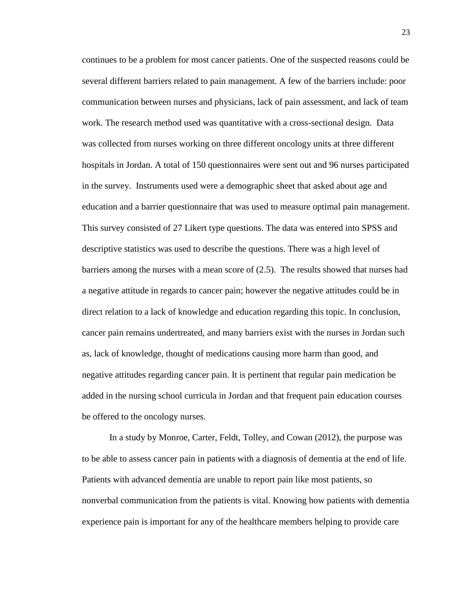continues to be a problem for most cancer patients. One of the suspected reasons could be several different barriers related to pain management. A few of the barriers include: poor communication between nurses and physicians, lack of pain assessment, and lack of team work. The research method used was quantitative with a cross-sectional design. Data was collected from nurses working on three different oncology units at three different hospitals in Jordan. A total of 150 questionnaires were sent out and 96 nurses participated in the survey. Instruments used were a demographic sheet that asked about age and education and a barrier questionnaire that was used to measure optimal pain management. This survey consisted of 27 Likert type questions. The data was entered into SPSS and descriptive statistics was used to describe the questions. There was a high level of barriers among the nurses with a mean score of (2.5). The results showed that nurses had a negative attitude in regards to cancer pain; however the negative attitudes could be in direct relation to a lack of knowledge and education regarding this topic. In conclusion, cancer pain remains undertreated, and many barriers exist with the nurses in Jordan such as, lack of knowledge, thought of medications causing more harm than good, and negative attitudes regarding cancer pain. It is pertinent that regular pain medication be added in the nursing school curricula in Jordan and that frequent pain education courses be offered to the oncology nurses.

In a study by Monroe, Carter, Feldt, Tolley, and Cowan (2012), the purpose was to be able to assess cancer pain in patients with a diagnosis of dementia at the end of life. Patients with advanced dementia are unable to report pain like most patients, so nonverbal communication from the patients is vital. Knowing how patients with dementia experience pain is important for any of the healthcare members helping to provide care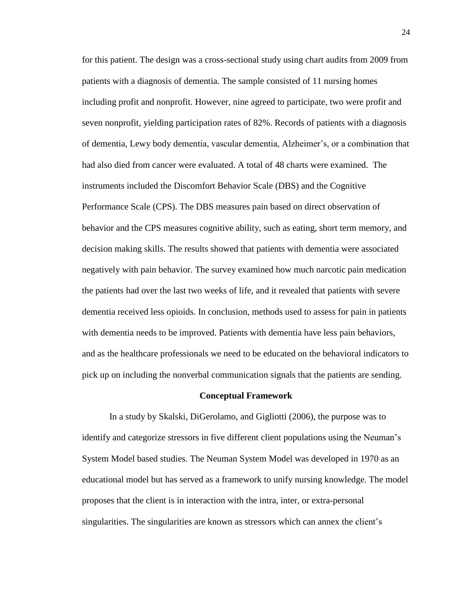for this patient. The design was a cross-sectional study using chart audits from 2009 from patients with a diagnosis of dementia. The sample consisted of 11 nursing homes including profit and nonprofit. However, nine agreed to participate, two were profit and seven nonprofit, yielding participation rates of 82%. Records of patients with a diagnosis of dementia, Lewy body dementia, vascular dementia, Alzheimer's, or a combination that had also died from cancer were evaluated. A total of 48 charts were examined. The instruments included the Discomfort Behavior Scale (DBS) and the Cognitive Performance Scale (CPS). The DBS measures pain based on direct observation of behavior and the CPS measures cognitive ability, such as eating, short term memory, and decision making skills. The results showed that patients with dementia were associated negatively with pain behavior. The survey examined how much narcotic pain medication the patients had over the last two weeks of life, and it revealed that patients with severe dementia received less opioids. In conclusion, methods used to assess for pain in patients with dementia needs to be improved. Patients with dementia have less pain behaviors, and as the healthcare professionals we need to be educated on the behavioral indicators to pick up on including the nonverbal communication signals that the patients are sending.

#### **Conceptual Framework**

In a study by Skalski, DiGerolamo, and Gigliotti (2006), the purpose was to identify and categorize stressors in five different client populations using the Neuman's System Model based studies. The Neuman System Model was developed in 1970 as an educational model but has served as a framework to unify nursing knowledge. The model proposes that the client is in interaction with the intra, inter, or extra-personal singularities. The singularities are known as stressors which can annex the client's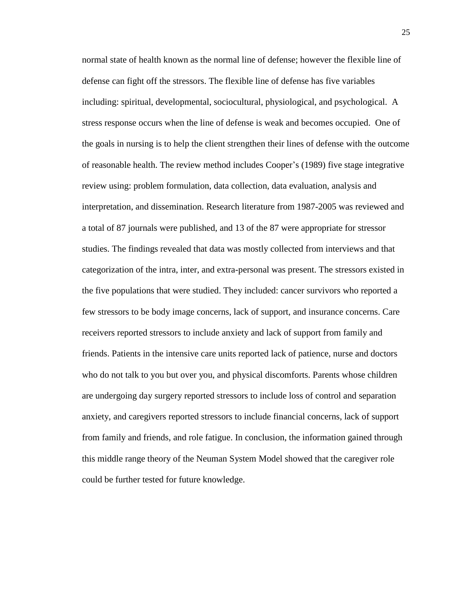normal state of health known as the normal line of defense; however the flexible line of defense can fight off the stressors. The flexible line of defense has five variables including: spiritual, developmental, sociocultural, physiological, and psychological. A stress response occurs when the line of defense is weak and becomes occupied. One of the goals in nursing is to help the client strengthen their lines of defense with the outcome of reasonable health. The review method includes Cooper's (1989) five stage integrative review using: problem formulation, data collection, data evaluation, analysis and interpretation, and dissemination. Research literature from 1987-2005 was reviewed and a total of 87 journals were published, and 13 of the 87 were appropriate for stressor studies. The findings revealed that data was mostly collected from interviews and that categorization of the intra, inter, and extra-personal was present. The stressors existed in the five populations that were studied. They included: cancer survivors who reported a few stressors to be body image concerns, lack of support, and insurance concerns. Care receivers reported stressors to include anxiety and lack of support from family and friends. Patients in the intensive care units reported lack of patience, nurse and doctors who do not talk to you but over you, and physical discomforts. Parents whose children are undergoing day surgery reported stressors to include loss of control and separation anxiety, and caregivers reported stressors to include financial concerns, lack of support from family and friends, and role fatigue. In conclusion, the information gained through this middle range theory of the Neuman System Model showed that the caregiver role could be further tested for future knowledge.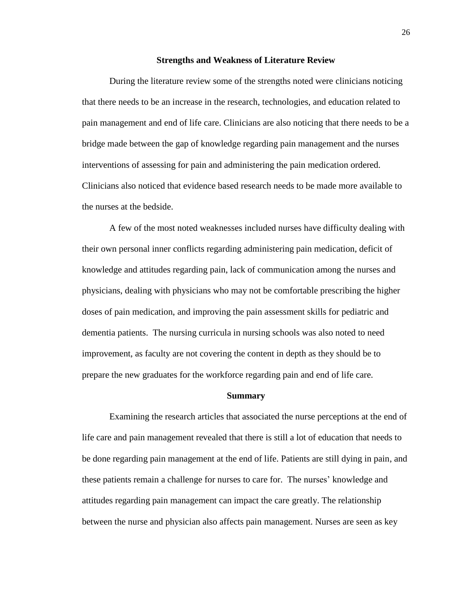#### **Strengths and Weakness of Literature Review**

During the literature review some of the strengths noted were clinicians noticing that there needs to be an increase in the research, technologies, and education related to pain management and end of life care. Clinicians are also noticing that there needs to be a bridge made between the gap of knowledge regarding pain management and the nurses interventions of assessing for pain and administering the pain medication ordered. Clinicians also noticed that evidence based research needs to be made more available to the nurses at the bedside.

A few of the most noted weaknesses included nurses have difficulty dealing with their own personal inner conflicts regarding administering pain medication, deficit of knowledge and attitudes regarding pain, lack of communication among the nurses and physicians, dealing with physicians who may not be comfortable prescribing the higher doses of pain medication, and improving the pain assessment skills for pediatric and dementia patients. The nursing curricula in nursing schools was also noted to need improvement, as faculty are not covering the content in depth as they should be to prepare the new graduates for the workforce regarding pain and end of life care.

#### **Summary**

Examining the research articles that associated the nurse perceptions at the end of life care and pain management revealed that there is still a lot of education that needs to be done regarding pain management at the end of life. Patients are still dying in pain, and these patients remain a challenge for nurses to care for. The nurses' knowledge and attitudes regarding pain management can impact the care greatly. The relationship between the nurse and physician also affects pain management. Nurses are seen as key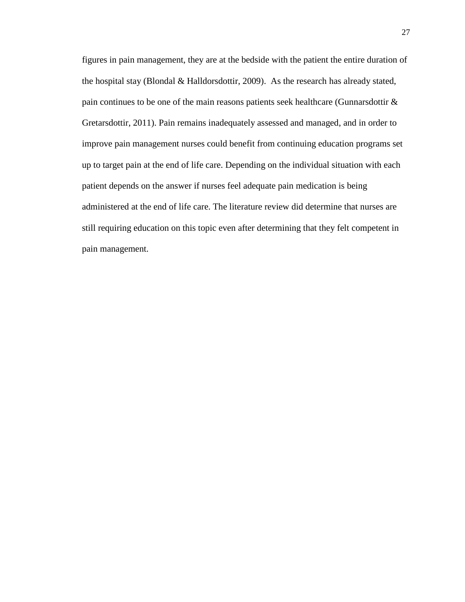figures in pain management, they are at the bedside with the patient the entire duration of the hospital stay (Blondal & Halldorsdottir, 2009). As the research has already stated, pain continues to be one of the main reasons patients seek healthcare (Gunnarsdottir & Gretarsdottir, 2011). Pain remains inadequately assessed and managed, and in order to improve pain management nurses could benefit from continuing education programs set up to target pain at the end of life care. Depending on the individual situation with each patient depends on the answer if nurses feel adequate pain medication is being administered at the end of life care. The literature review did determine that nurses are still requiring education on this topic even after determining that they felt competent in pain management.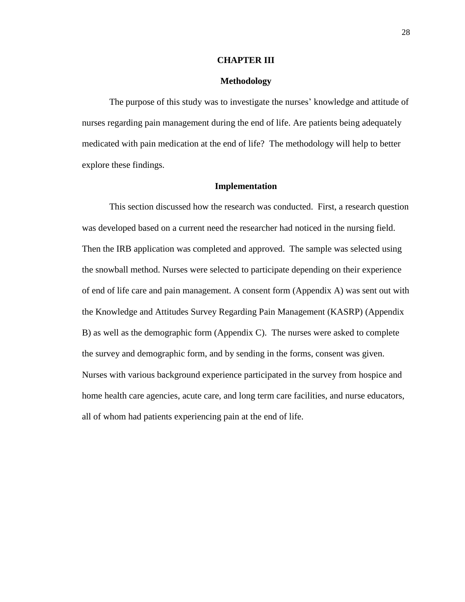#### **CHAPTER III**

# **Methodology**

The purpose of this study was to investigate the nurses' knowledge and attitude of nurses regarding pain management during the end of life. Are patients being adequately medicated with pain medication at the end of life? The methodology will help to better explore these findings.

## **Implementation**

This section discussed how the research was conducted. First, a research question was developed based on a current need the researcher had noticed in the nursing field. Then the IRB application was completed and approved. The sample was selected using the snowball method. Nurses were selected to participate depending on their experience of end of life care and pain management. A consent form (Appendix A) was sent out with the Knowledge and Attitudes Survey Regarding Pain Management (KASRP) (Appendix B) as well as the demographic form (Appendix C). The nurses were asked to complete the survey and demographic form, and by sending in the forms, consent was given. Nurses with various background experience participated in the survey from hospice and home health care agencies, acute care, and long term care facilities, and nurse educators, all of whom had patients experiencing pain at the end of life.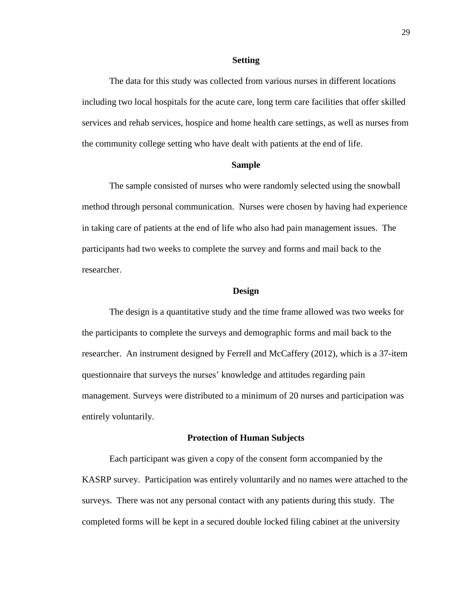#### **Setting**

The data for this study was collected from various nurses in different locations including two local hospitals for the acute care, long term care facilities that offer skilled services and rehab services, hospice and home health care settings, as well as nurses from the community college setting who have dealt with patients at the end of life.

## **Sample**

The sample consisted of nurses who were randomly selected using the snowball method through personal communication. Nurses were chosen by having had experience in taking care of patients at the end of life who also had pain management issues. The participants had two weeks to complete the survey and forms and mail back to the researcher.

#### **Design**

The design is a quantitative study and the time frame allowed was two weeks for the participants to complete the surveys and demographic forms and mail back to the researcher. An instrument designed by Ferrell and McCaffery (2012), which is a 37-item questionnaire that surveys the nurses' knowledge and attitudes regarding pain management. Surveys were distributed to a minimum of 20 nurses and participation was entirely voluntarily.

#### **Protection of Human Subjects**

Each participant was given a copy of the consent form accompanied by the KASRP survey. Participation was entirely voluntarily and no names were attached to the surveys. There was not any personal contact with any patients during this study. The completed forms will be kept in a secured double locked filing cabinet at the university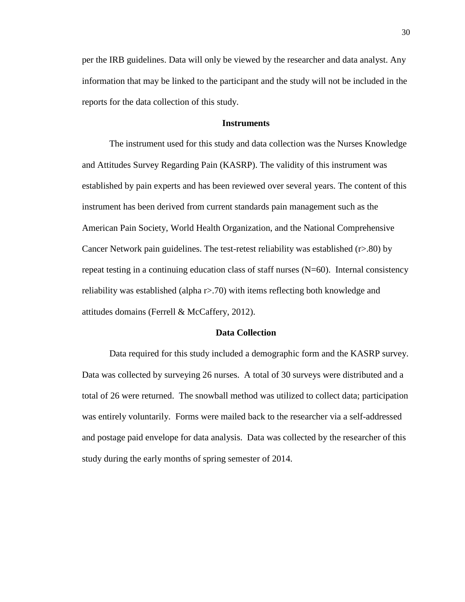per the IRB guidelines. Data will only be viewed by the researcher and data analyst. Any information that may be linked to the participant and the study will not be included in the reports for the data collection of this study.

# **Instruments**

The instrument used for this study and data collection was the Nurses Knowledge and Attitudes Survey Regarding Pain (KASRP). The validity of this instrument was established by pain experts and has been reviewed over several years. The content of this instrument has been derived from current standards pain management such as the American Pain Society, World Health Organization, and the National Comprehensive Cancer Network pain guidelines. The test-retest reliability was established (r>.80) by repeat testing in a continuing education class of staff nurses  $(N=60)$ . Internal consistency reliability was established (alpha r>.70) with items reflecting both knowledge and attitudes domains (Ferrell & McCaffery, 2012).

# **Data Collection**

Data required for this study included a demographic form and the KASRP survey. Data was collected by surveying 26 nurses. A total of 30 surveys were distributed and a total of 26 were returned. The snowball method was utilized to collect data; participation was entirely voluntarily. Forms were mailed back to the researcher via a self-addressed and postage paid envelope for data analysis. Data was collected by the researcher of this study during the early months of spring semester of 2014.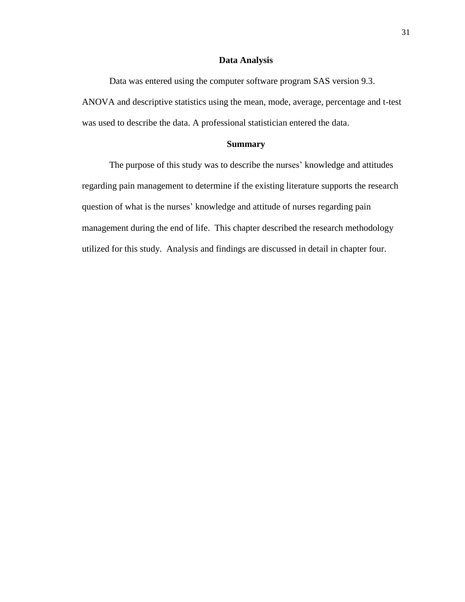## **Data Analysis**

Data was entered using the computer software program SAS version 9.3. ANOVA and descriptive statistics using the mean, mode, average, percentage and t-test was used to describe the data. A professional statistician entered the data.

# **Summary**

The purpose of this study was to describe the nurses' knowledge and attitudes regarding pain management to determine if the existing literature supports the research question of what is the nurses' knowledge and attitude of nurses regarding pain management during the end of life. This chapter described the research methodology utilized for this study. Analysis and findings are discussed in detail in chapter four.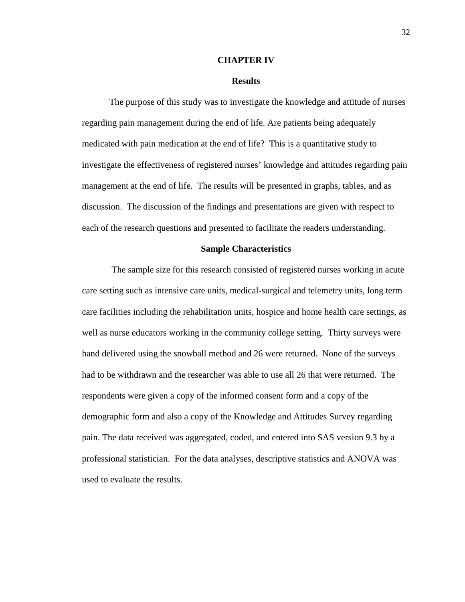#### **CHAPTER IV**

## **Results**

 The purpose of this study was to investigate the knowledge and attitude of nurses regarding pain management during the end of life. Are patients being adequately medicated with pain medication at the end of life? This is a quantitative study to investigate the effectiveness of registered nurses' knowledge and attitudes regarding pain management at the end of life. The results will be presented in graphs, tables, and as discussion. The discussion of the findings and presentations are given with respect to each of the research questions and presented to facilitate the readers understanding.

#### **Sample Characteristics**

The sample size for this research consisted of registered nurses working in acute care setting such as intensive care units, medical-surgical and telemetry units, long term care facilities including the rehabilitation units, hospice and home health care settings, as well as nurse educators working in the community college setting. Thirty surveys were hand delivered using the snowball method and 26 were returned. None of the surveys had to be withdrawn and the researcher was able to use all 26 that were returned. The respondents were given a copy of the informed consent form and a copy of the demographic form and also a copy of the Knowledge and Attitudes Survey regarding pain. The data received was aggregated, coded, and entered into SAS version 9.3 by a professional statistician. For the data analyses, descriptive statistics and ANOVA was used to evaluate the results.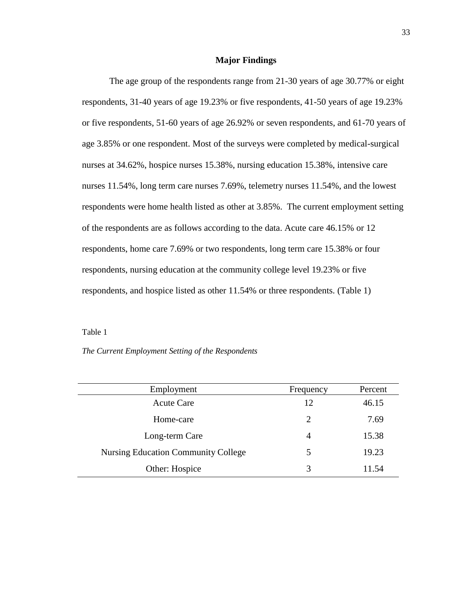# **Major Findings**

 The age group of the respondents range from 21-30 years of age 30.77% or eight respondents, 31-40 years of age 19.23% or five respondents, 41-50 years of age 19.23% or five respondents, 51-60 years of age 26.92% or seven respondents, and 61-70 years of age 3.85% or one respondent. Most of the surveys were completed by medical-surgical nurses at 34.62%, hospice nurses 15.38%, nursing education 15.38%, intensive care nurses 11.54%, long term care nurses 7.69%, telemetry nurses 11.54%, and the lowest respondents were home health listed as other at 3.85%. The current employment setting of the respondents are as follows according to the data. Acute care 46.15% or 12 respondents, home care 7.69% or two respondents, long term care 15.38% or four respondents, nursing education at the community college level 19.23% or five respondents, and hospice listed as other 11.54% or three respondents. (Table 1)

Table 1

# *The Current Employment Setting of the Respondents*

| Employment                                 | Frequency | Percent |
|--------------------------------------------|-----------|---------|
| <b>Acute Care</b>                          | 12        | 46.15   |
| Home-care                                  | 2         | 7.69    |
| Long-term Care                             | 4         | 15.38   |
| <b>Nursing Education Community College</b> | 5         | 19.23   |
| Other: Hospice                             | 3         | 11.54   |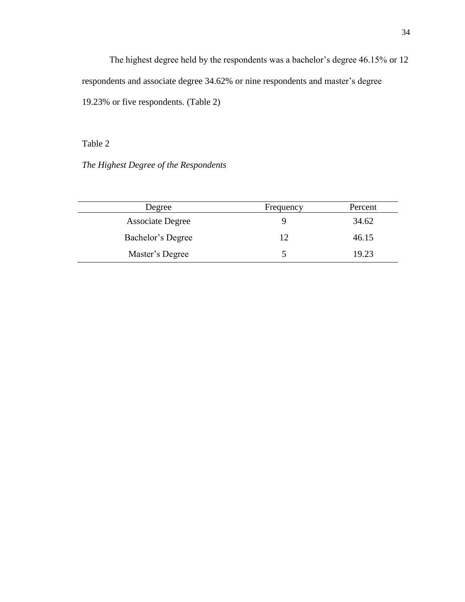The highest degree held by the respondents was a bachelor's degree 46.15% or 12 respondents and associate degree 34.62% or nine respondents and master's degree 19.23% or five respondents. (Table 2)

Table 2

*The Highest Degree of the Respondents*

| Degree                  | Frequency | Percent |
|-------------------------|-----------|---------|
| <b>Associate Degree</b> | Q         | 34.62   |
| Bachelor's Degree       | 12        | 46.15   |
| Master's Degree         |           | 19.23   |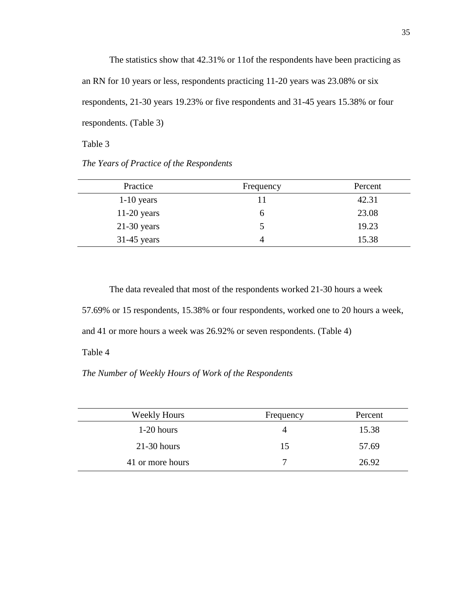The statistics show that 42.31% or 11of the respondents have been practicing as an RN for 10 years or less, respondents practicing 11-20 years was 23.08% or six respondents, 21-30 years 19.23% or five respondents and 31-45 years 15.38% or four respondents. (Table 3)

Table 3

*The Years of Practice of the Respondents*

| Practice      | Frequency | Percent |
|---------------|-----------|---------|
| $1-10$ years  |           | 42.31   |
| $11-20$ years | h         | 23.08   |
| $21-30$ years |           | 19.23   |
| $31-45$ years |           | 15.38   |

The data revealed that most of the respondents worked 21-30 hours a week 57.69% or 15 respondents, 15.38% or four respondents, worked one to 20 hours a week, and 41 or more hours a week was 26.92% or seven respondents. (Table 4) Table 4

*The Number of Weekly Hours of Work of the Respondents*

| <b>Weekly Hours</b> | Frequency | Percent |
|---------------------|-----------|---------|
| $1-20$ hours        |           | 15.38   |
| $21-30$ hours       | 15        | 57.69   |
| 41 or more hours    | 7         | 26.92   |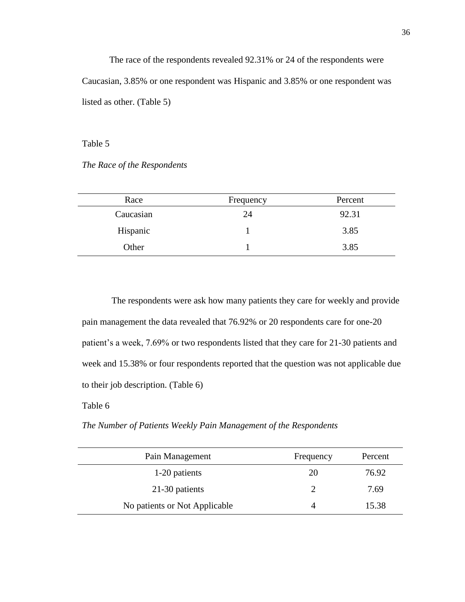The race of the respondents revealed 92.31% or 24 of the respondents were Caucasian, 3.85% or one respondent was Hispanic and 3.85% or one respondent was listed as other. (Table 5)

Table 5

*The Race of the Respondents*

| Race      | Frequency | Percent |
|-----------|-----------|---------|
| Caucasian | 24        | 92.31   |
| Hispanic  |           | 3.85    |
| Other     |           | 3.85    |

The respondents were ask how many patients they care for weekly and provide pain management the data revealed that 76.92% or 20 respondents care for one-20 patient's a week, 7.69% or two respondents listed that they care for 21-30 patients and week and 15.38% or four respondents reported that the question was not applicable due to their job description. (Table 6)

Table 6

*The Number of Patients Weekly Pain Management of the Respondents*

| Pain Management               | Frequency                   | Percent |
|-------------------------------|-----------------------------|---------|
| 1-20 patients                 | 20                          | 76.92   |
| 21-30 patients                | $\mathcal{D}_{\mathcal{A}}$ | 7.69    |
| No patients or Not Applicable | 4                           | 15.38   |
|                               |                             |         |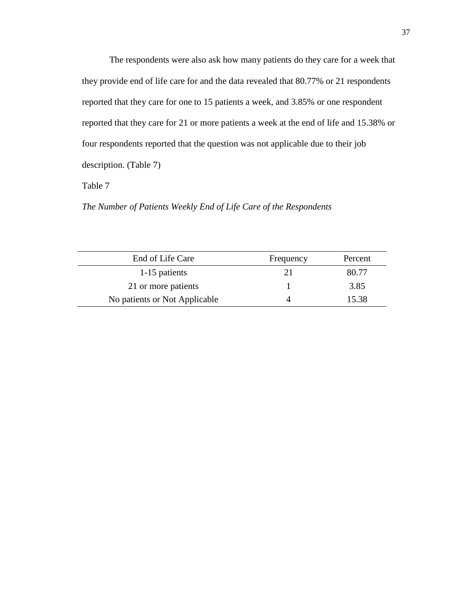The respondents were also ask how many patients do they care for a week that they provide end of life care for and the data revealed that 80.77% or 21 respondents reported that they care for one to 15 patients a week, and 3.85% or one respondent reported that they care for 21 or more patients a week at the end of life and 15.38% or four respondents reported that the question was not applicable due to their job description. (Table 7)

Table 7

*The Number of Patients Weekly End of Life Care of the Respondents*

| End of Life Care              | Frequency | Percent |
|-------------------------------|-----------|---------|
| 1-15 patients                 | 21        | 80.77   |
| 21 or more patients           |           | 3.85    |
| No patients or Not Applicable |           | 15.38   |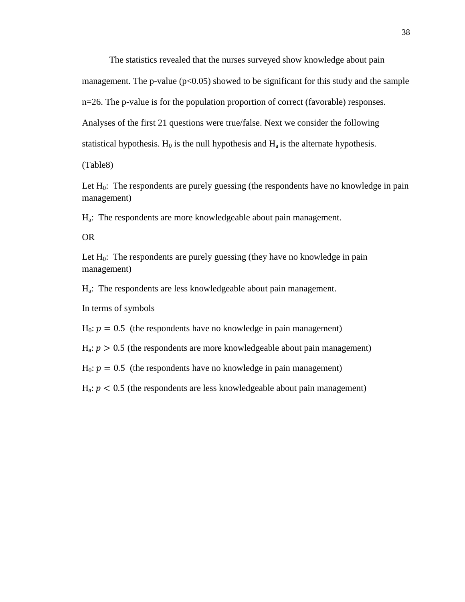The statistics revealed that the nurses surveyed show knowledge about pain management. The p-value  $(p<0.05)$  showed to be significant for this study and the sample n=26. The p-value is for the population proportion of correct (favorable) responses. Analyses of the first 21 questions were true/false. Next we consider the following statistical hypothesis.  $H_0$  is the null hypothesis and  $H_a$  is the alternate hypothesis.

(Table8)

Let  $H_0$ : The respondents are purely guessing (the respondents have no knowledge in pain management)

Ha: The respondents are more knowledgeable about pain management.

OR

Let  $H_0$ : The respondents are purely guessing (they have no knowledge in pain management)

Ha: The respondents are less knowledgeable about pain management.

In terms of symbols

 $H_0$ :  $p = 0.5$  (the respondents have no knowledge in pain management)

 $H_a$ :  $p > 0.5$  (the respondents are more knowledgeable about pain management)

 $H_0$ :  $p = 0.5$  (the respondents have no knowledge in pain management)

 $H_a$ :  $p < 0.5$  (the respondents are less knowledgeable about pain management)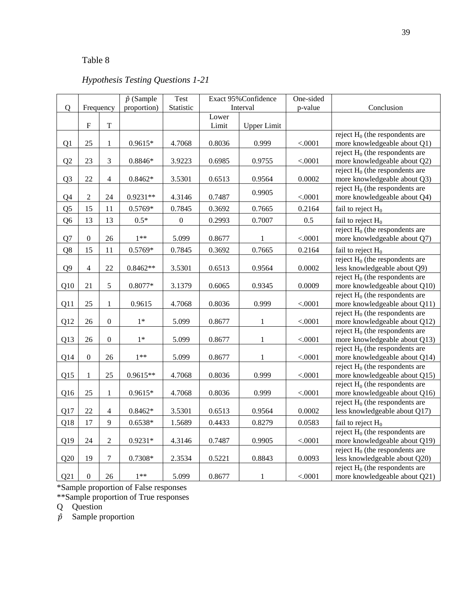# Table 8

# *Hypothesis Testing Questions 1-21*

| $\hat{p}$ (Sample<br>$\mathbf Q$<br>proportion)<br>Statistic<br>Interval<br>p-value<br>Conclusion<br>Frequency<br>Lower<br>$\mathbf T$<br>$\mathbf F$<br>Limit<br><b>Upper Limit</b><br>reject $H_0$ (the respondents are<br>25<br>0.999<br>more knowledgeable about Q1)<br>Q1<br>$\mathbf{1}$<br>0.9615*<br>4.7068<br>0.8036<br>< .0001<br>reject $H_0$ (the respondents are<br>23<br>$\mathfrak{Z}$<br>Q <sub>2</sub><br>$0.8846*$<br>more knowledgeable about Q2)<br>3.9223<br>0.6985<br>0.9755<br>< .0001<br>reject $H_0$ (the respondents are<br>22<br>Q <sub>3</sub><br>$\overline{4}$<br>$0.8462*$<br>3.5301<br>0.6513<br>0.9564<br>0.0002<br>more knowledgeable about Q3)<br>reject $H_0$ (the respondents are<br>0.9905<br>$\overline{2}$<br>Q <sub>4</sub><br>24<br>$0.9231**$<br>4.3146<br>0.7487<br>more knowledgeable about Q4)<br>< .0001<br>15<br>11<br>$0.5769*$<br>0.7845<br>0.3692<br>0.7665<br>0.2164<br>Q5<br>fail to reject $H_0$<br>Q <sub>6</sub><br>13<br>13<br>$0.5*$<br>$\boldsymbol{0}$<br>0.2993<br>0.7007<br>0.5<br>fail to reject $H_0$<br>reject $H_0$ (the respondents are<br>$\mathbf{0}$<br>$1**$<br>more knowledgeable about Q7)<br>Q7<br>26<br>5.099<br>0.8677<br>< .0001<br>1<br>Q8<br>15<br>11<br>$0.5769*$<br>0.3692<br>0.7665<br>0.2164<br>0.7845<br>fail to reject $H_0$<br>reject $H_0$ (the respondents are<br>Q <sub>9</sub><br>$\overline{4}$<br>22<br>$0.8462**$<br>3.5301<br>0.6513<br>0.0002<br>less knowledgeable about Q9)<br>0.9564<br>reject $H_0$ (the respondents are<br>5<br>21<br>more knowledgeable about Q10)<br>Q10<br>$0.8077*$<br>3.1379<br>0.6065<br>0.9345<br>0.0009<br>reject $H_0$ (the respondents are |
|--------------------------------------------------------------------------------------------------------------------------------------------------------------------------------------------------------------------------------------------------------------------------------------------------------------------------------------------------------------------------------------------------------------------------------------------------------------------------------------------------------------------------------------------------------------------------------------------------------------------------------------------------------------------------------------------------------------------------------------------------------------------------------------------------------------------------------------------------------------------------------------------------------------------------------------------------------------------------------------------------------------------------------------------------------------------------------------------------------------------------------------------------------------------------------------------------------------------------------------------------------------------------------------------------------------------------------------------------------------------------------------------------------------------------------------------------------------------------------------------------------------------------------------------------------------------------------------------------------------------------------------------------------------------------|
|                                                                                                                                                                                                                                                                                                                                                                                                                                                                                                                                                                                                                                                                                                                                                                                                                                                                                                                                                                                                                                                                                                                                                                                                                                                                                                                                                                                                                                                                                                                                                                                                                                                                          |
|                                                                                                                                                                                                                                                                                                                                                                                                                                                                                                                                                                                                                                                                                                                                                                                                                                                                                                                                                                                                                                                                                                                                                                                                                                                                                                                                                                                                                                                                                                                                                                                                                                                                          |
|                                                                                                                                                                                                                                                                                                                                                                                                                                                                                                                                                                                                                                                                                                                                                                                                                                                                                                                                                                                                                                                                                                                                                                                                                                                                                                                                                                                                                                                                                                                                                                                                                                                                          |
|                                                                                                                                                                                                                                                                                                                                                                                                                                                                                                                                                                                                                                                                                                                                                                                                                                                                                                                                                                                                                                                                                                                                                                                                                                                                                                                                                                                                                                                                                                                                                                                                                                                                          |
|                                                                                                                                                                                                                                                                                                                                                                                                                                                                                                                                                                                                                                                                                                                                                                                                                                                                                                                                                                                                                                                                                                                                                                                                                                                                                                                                                                                                                                                                                                                                                                                                                                                                          |
|                                                                                                                                                                                                                                                                                                                                                                                                                                                                                                                                                                                                                                                                                                                                                                                                                                                                                                                                                                                                                                                                                                                                                                                                                                                                                                                                                                                                                                                                                                                                                                                                                                                                          |
|                                                                                                                                                                                                                                                                                                                                                                                                                                                                                                                                                                                                                                                                                                                                                                                                                                                                                                                                                                                                                                                                                                                                                                                                                                                                                                                                                                                                                                                                                                                                                                                                                                                                          |
|                                                                                                                                                                                                                                                                                                                                                                                                                                                                                                                                                                                                                                                                                                                                                                                                                                                                                                                                                                                                                                                                                                                                                                                                                                                                                                                                                                                                                                                                                                                                                                                                                                                                          |
|                                                                                                                                                                                                                                                                                                                                                                                                                                                                                                                                                                                                                                                                                                                                                                                                                                                                                                                                                                                                                                                                                                                                                                                                                                                                                                                                                                                                                                                                                                                                                                                                                                                                          |
|                                                                                                                                                                                                                                                                                                                                                                                                                                                                                                                                                                                                                                                                                                                                                                                                                                                                                                                                                                                                                                                                                                                                                                                                                                                                                                                                                                                                                                                                                                                                                                                                                                                                          |
|                                                                                                                                                                                                                                                                                                                                                                                                                                                                                                                                                                                                                                                                                                                                                                                                                                                                                                                                                                                                                                                                                                                                                                                                                                                                                                                                                                                                                                                                                                                                                                                                                                                                          |
|                                                                                                                                                                                                                                                                                                                                                                                                                                                                                                                                                                                                                                                                                                                                                                                                                                                                                                                                                                                                                                                                                                                                                                                                                                                                                                                                                                                                                                                                                                                                                                                                                                                                          |
|                                                                                                                                                                                                                                                                                                                                                                                                                                                                                                                                                                                                                                                                                                                                                                                                                                                                                                                                                                                                                                                                                                                                                                                                                                                                                                                                                                                                                                                                                                                                                                                                                                                                          |
|                                                                                                                                                                                                                                                                                                                                                                                                                                                                                                                                                                                                                                                                                                                                                                                                                                                                                                                                                                                                                                                                                                                                                                                                                                                                                                                                                                                                                                                                                                                                                                                                                                                                          |
|                                                                                                                                                                                                                                                                                                                                                                                                                                                                                                                                                                                                                                                                                                                                                                                                                                                                                                                                                                                                                                                                                                                                                                                                                                                                                                                                                                                                                                                                                                                                                                                                                                                                          |
|                                                                                                                                                                                                                                                                                                                                                                                                                                                                                                                                                                                                                                                                                                                                                                                                                                                                                                                                                                                                                                                                                                                                                                                                                                                                                                                                                                                                                                                                                                                                                                                                                                                                          |
|                                                                                                                                                                                                                                                                                                                                                                                                                                                                                                                                                                                                                                                                                                                                                                                                                                                                                                                                                                                                                                                                                                                                                                                                                                                                                                                                                                                                                                                                                                                                                                                                                                                                          |
|                                                                                                                                                                                                                                                                                                                                                                                                                                                                                                                                                                                                                                                                                                                                                                                                                                                                                                                                                                                                                                                                                                                                                                                                                                                                                                                                                                                                                                                                                                                                                                                                                                                                          |
|                                                                                                                                                                                                                                                                                                                                                                                                                                                                                                                                                                                                                                                                                                                                                                                                                                                                                                                                                                                                                                                                                                                                                                                                                                                                                                                                                                                                                                                                                                                                                                                                                                                                          |
|                                                                                                                                                                                                                                                                                                                                                                                                                                                                                                                                                                                                                                                                                                                                                                                                                                                                                                                                                                                                                                                                                                                                                                                                                                                                                                                                                                                                                                                                                                                                                                                                                                                                          |
| 25<br>0.999<br>Q11<br>$\mathbf{1}$<br>0.9615<br>4.7068<br>0.8036<br>< .0001<br>more knowledgeable about Q11)                                                                                                                                                                                                                                                                                                                                                                                                                                                                                                                                                                                                                                                                                                                                                                                                                                                                                                                                                                                                                                                                                                                                                                                                                                                                                                                                                                                                                                                                                                                                                             |
| reject $H_0$ (the respondents are<br>$\boldsymbol{0}$<br>Q12<br>26<br>$1*$<br>5.099<br>more knowledgeable about Q12)                                                                                                                                                                                                                                                                                                                                                                                                                                                                                                                                                                                                                                                                                                                                                                                                                                                                                                                                                                                                                                                                                                                                                                                                                                                                                                                                                                                                                                                                                                                                                     |
| 0.8677<br>$\mathbf{1}$<br>< .0001<br>reject $H_0$ (the respondents are                                                                                                                                                                                                                                                                                                                                                                                                                                                                                                                                                                                                                                                                                                                                                                                                                                                                                                                                                                                                                                                                                                                                                                                                                                                                                                                                                                                                                                                                                                                                                                                                   |
| $\overline{0}$<br>more knowledgeable about Q13)<br>Q13<br>26<br>$1*$<br>5.099<br>0.8677<br>$\mathbf{1}$<br>< .0001                                                                                                                                                                                                                                                                                                                                                                                                                                                                                                                                                                                                                                                                                                                                                                                                                                                                                                                                                                                                                                                                                                                                                                                                                                                                                                                                                                                                                                                                                                                                                       |
| reject $H_0$ (the respondents are                                                                                                                                                                                                                                                                                                                                                                                                                                                                                                                                                                                                                                                                                                                                                                                                                                                                                                                                                                                                                                                                                                                                                                                                                                                                                                                                                                                                                                                                                                                                                                                                                                        |
| $\boldsymbol{0}$<br>more knowledgeable about Q14)<br>26<br>$1**$<br>Q14<br>5.099<br>0.8677<br>$\mathbf{1}$<br>< .0001                                                                                                                                                                                                                                                                                                                                                                                                                                                                                                                                                                                                                                                                                                                                                                                                                                                                                                                                                                                                                                                                                                                                                                                                                                                                                                                                                                                                                                                                                                                                                    |
| reject $H_0$ (the respondents are                                                                                                                                                                                                                                                                                                                                                                                                                                                                                                                                                                                                                                                                                                                                                                                                                                                                                                                                                                                                                                                                                                                                                                                                                                                                                                                                                                                                                                                                                                                                                                                                                                        |
| 25<br>more knowledgeable about Q15)<br>Q15<br>1<br>$0.9615**$<br>4.7068<br>0.8036<br>0.999<br>< .0001                                                                                                                                                                                                                                                                                                                                                                                                                                                                                                                                                                                                                                                                                                                                                                                                                                                                                                                                                                                                                                                                                                                                                                                                                                                                                                                                                                                                                                                                                                                                                                    |
| reject $H_0$ (the respondents are                                                                                                                                                                                                                                                                                                                                                                                                                                                                                                                                                                                                                                                                                                                                                                                                                                                                                                                                                                                                                                                                                                                                                                                                                                                                                                                                                                                                                                                                                                                                                                                                                                        |
| 25<br>$\mathbf{1}$<br>$0.9615*$<br>4.7068<br>0.8036<br>0.999<br>more knowledgeable about Q16)<br>Q <sub>16</sub><br>< .0001                                                                                                                                                                                                                                                                                                                                                                                                                                                                                                                                                                                                                                                                                                                                                                                                                                                                                                                                                                                                                                                                                                                                                                                                                                                                                                                                                                                                                                                                                                                                              |
| reject $H_0$ (the respondents are                                                                                                                                                                                                                                                                                                                                                                                                                                                                                                                                                                                                                                                                                                                                                                                                                                                                                                                                                                                                                                                                                                                                                                                                                                                                                                                                                                                                                                                                                                                                                                                                                                        |
| 22<br>Q17<br>4<br>$0.8462*$<br>3.5301<br>0.6513<br>0.9564<br>0.0002<br>less knowledgeable about Q17)                                                                                                                                                                                                                                                                                                                                                                                                                                                                                                                                                                                                                                                                                                                                                                                                                                                                                                                                                                                                                                                                                                                                                                                                                                                                                                                                                                                                                                                                                                                                                                     |
| 17<br>9<br>Q18<br>$0.6538*$<br>1.5689<br>0.4433<br>0.8279<br>0.0583<br>fail to reject $H_0$                                                                                                                                                                                                                                                                                                                                                                                                                                                                                                                                                                                                                                                                                                                                                                                                                                                                                                                                                                                                                                                                                                                                                                                                                                                                                                                                                                                                                                                                                                                                                                              |
| reject $H_0$ (the respondents are                                                                                                                                                                                                                                                                                                                                                                                                                                                                                                                                                                                                                                                                                                                                                                                                                                                                                                                                                                                                                                                                                                                                                                                                                                                                                                                                                                                                                                                                                                                                                                                                                                        |
| $\overline{c}$<br>Q19<br>24<br>more knowledgeable about Q19)<br>$0.9231*$<br>4.3146<br>0.7487<br>0.9905<br>< .0001                                                                                                                                                                                                                                                                                                                                                                                                                                                                                                                                                                                                                                                                                                                                                                                                                                                                                                                                                                                                                                                                                                                                                                                                                                                                                                                                                                                                                                                                                                                                                       |
| reject $H_0$ (the respondents are                                                                                                                                                                                                                                                                                                                                                                                                                                                                                                                                                                                                                                                                                                                                                                                                                                                                                                                                                                                                                                                                                                                                                                                                                                                                                                                                                                                                                                                                                                                                                                                                                                        |
| Q20<br>19<br>7<br>0.8843<br>less knowledgeable about Q20)<br>0.7308*<br>2.3534<br>0.5221<br>0.0093<br>reject $H_0$ (the respondents are                                                                                                                                                                                                                                                                                                                                                                                                                                                                                                                                                                                                                                                                                                                                                                                                                                                                                                                                                                                                                                                                                                                                                                                                                                                                                                                                                                                                                                                                                                                                  |
| Q21<br>$\boldsymbol{0}$<br>$1**$<br>26<br>5.099<br>0.8677<br>$\,1$<br>< .0001<br>more knowledgeable about Q21)                                                                                                                                                                                                                                                                                                                                                                                                                                                                                                                                                                                                                                                                                                                                                                                                                                                                                                                                                                                                                                                                                                                                                                                                                                                                                                                                                                                                                                                                                                                                                           |

\*Sample proportion of False responses

\*\*Sample proportion of True responses

Q Question

 $\hat{p}$  Sample proportion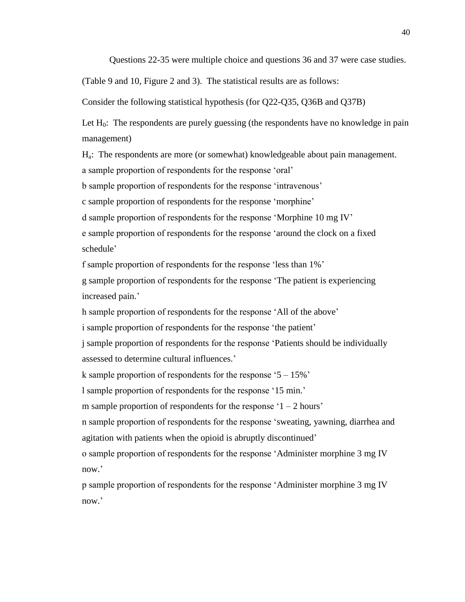Questions 22-35 were multiple choice and questions 36 and 37 were case studies.

(Table 9 and 10, Figure 2 and 3). The statistical results are as follows:

Consider the following statistical hypothesis (for Q22-Q35, Q36B and Q37B)

Let  $H_0$ : The respondents are purely guessing (the respondents have no knowledge in pain management)

Ha: The respondents are more (or somewhat) knowledgeable about pain management.

a sample proportion of respondents for the response 'oral'

b sample proportion of respondents for the response 'intravenous'

c sample proportion of respondents for the response 'morphine'

d sample proportion of respondents for the response 'Morphine 10 mg IV'

e sample proportion of respondents for the response 'around the clock on a fixed schedule'

f sample proportion of respondents for the response 'less than 1%'

g sample proportion of respondents for the response 'The patient is experiencing increased pain.'

h sample proportion of respondents for the response 'All of the above'

i sample proportion of respondents for the response 'the patient'

j sample proportion of respondents for the response 'Patients should be individually assessed to determine cultural influences.'

k sample proportion of respondents for the response ' $5 - 15\%$ '

l sample proportion of respondents for the response '15 min.'

m sample proportion of respondents for the response  $1 - 2$  hours'

n sample proportion of respondents for the response 'sweating, yawning, diarrhea and agitation with patients when the opioid is abruptly discontinued'

o sample proportion of respondents for the response 'Administer morphine 3 mg IV now.'

p sample proportion of respondents for the response 'Administer morphine 3 mg IV now.'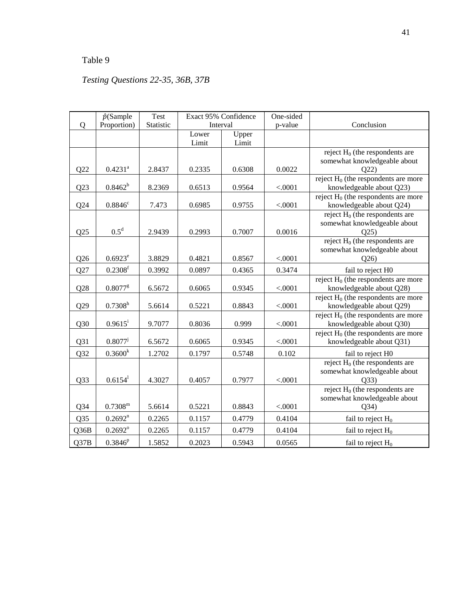# Table 9

# *Testing Questions 22-35, 36B, 37B*

|                 | $\hat{p}$ (Sample     | Test      | Exact 95% Confidence |                | One-sided |                                                                           |
|-----------------|-----------------------|-----------|----------------------|----------------|-----------|---------------------------------------------------------------------------|
| Q               | Proportion)           | Statistic | Interval             |                | p-value   | Conclusion                                                                |
|                 |                       |           | Lower<br>Limit       | Upper<br>Limit |           |                                                                           |
| Q22             | $0.4231^{a}$          | 2.8437    | 0.2335               | 0.6308         | 0.0022    | reject $H_0$ (the respondents are<br>somewhat knowledgeable about<br>Q22  |
| Q23             | $0.8462^{b}$          | 8.2369    | 0.6513               | 0.9564         | < .0001   | reject $H_0$ (the respondents are more<br>knowledgeable about Q23)        |
| Q24             | $0.8846^c$            | 7.473     | 0.6985               | 0.9755         | < .0001   | reject $H_0$ (the respondents are more<br>knowledgeable about Q24)        |
| Q25             | $0.5^d$               | 2.9439    | 0.2993               | 0.7007         | 0.0016    | reject $H_0$ (the respondents are<br>somewhat knowledgeable about<br>Q25  |
| Q26             | $0.6923^e$            | 3.8829    | 0.4821               | 0.8567         | < .0001   | reject $H_0$ (the respondents are<br>somewhat knowledgeable about<br>Q26  |
| Q27             | $0.2308$ <sup>f</sup> | 0.3992    | 0.0897               | 0.4365         | 0.3474    | fail to reject H0                                                         |
| Q28             | $0.8077$ <sup>g</sup> | 6.5672    | 0.6065               | 0.9345         | < .0001   | reject $H_0$ (the respondents are more<br>knowledgeable about Q28)        |
| Q29             | $0.7308^{h}$          | 5.6614    | 0.5221               | 0.8843         | < .0001   | reject $H_0$ (the respondents are more<br>knowledgeable about Q29)        |
| Q30             | $0.9615^{\rm i}$      | 9.7077    | 0.8036               | 0.999          | < .0001   | reject $H_0$ (the respondents are more<br>knowledgeable about Q30)        |
| Q <sub>31</sub> | $0.8077^{j}$          | 6.5672    | 0.6065               | 0.9345         | < .0001   | reject $H_0$ (the respondents are more<br>knowledgeable about Q31)        |
| Q32             | $0.3600^{k}$          | 1.2702    | 0.1797               | 0.5748         | 0.102     | fail to reject H0                                                         |
| Q33             | 0.6154 <sup>1</sup>   | 4.3027    | 0.4057               | 0.7977         | < .0001   | reject $H_0$ (the respondents are<br>somewhat knowledgeable about<br>Q33) |
| $Q$ 34          | $0.7308^{\rm m}$      | 5.6614    | 0.5221               | 0.8843         | < .0001   | reject $H_0$ (the respondents are<br>somewhat knowledgeable about<br>Q34) |
| Q35             | $0.2692^n$            | 0.2265    | 0.1157               | 0.4779         | 0.4104    | fail to reject $H_0$                                                      |
| Q36B            | $0.2692^{\circ}$      | 0.2265    | 0.1157               | 0.4779         | 0.4104    | fail to reject $H_0$                                                      |
| Q37B            | $0.3846^{p}$          | 1.5852    | 0.2023               | 0.5943         | 0.0565    | fail to reject $H_0$                                                      |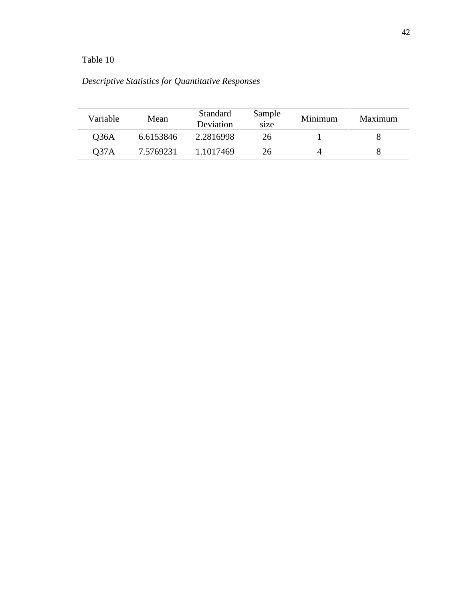# Table 10

|  |  |  | Descriptive Statistics for Quantitative Responses |  |
|--|--|--|---------------------------------------------------|--|
|--|--|--|---------------------------------------------------|--|

| Variable         | Mean      | Standard<br>Deviation | Sample<br>size | Minimum | Maximum |
|------------------|-----------|-----------------------|----------------|---------|---------|
| 036A             | 6.6153846 | 2.2816998             | 26             |         |         |
| O <sub>37A</sub> | 7.5769231 | 1.1017469             | 26             |         |         |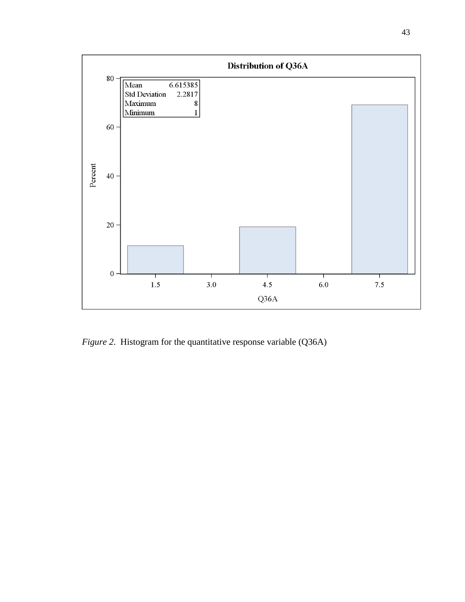

*Figure* 2. Histogram for the quantitative response variable (Q36A)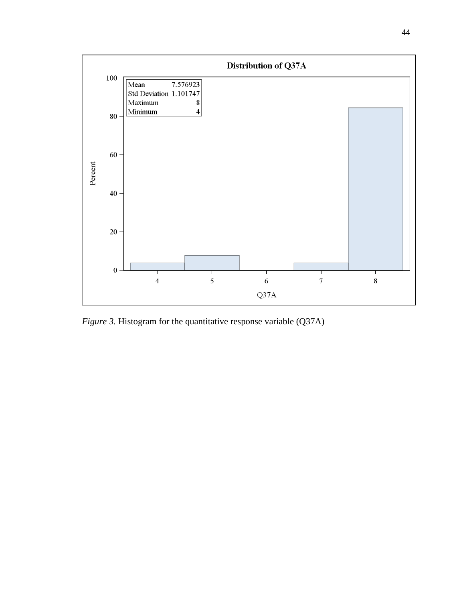

*Figure 3.* Histogram for the quantitative response variable (Q37A)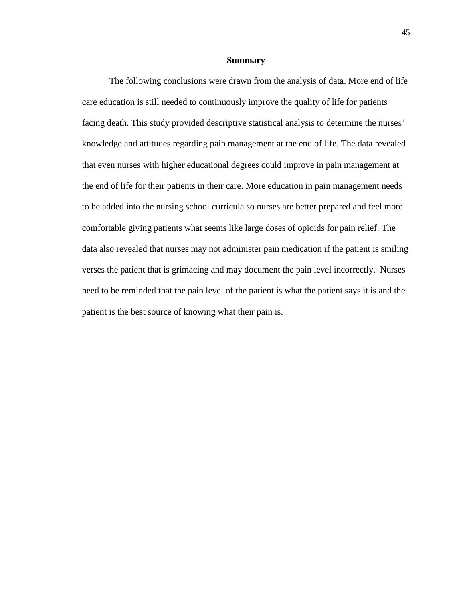#### **Summary**

The following conclusions were drawn from the analysis of data. More end of life care education is still needed to continuously improve the quality of life for patients facing death. This study provided descriptive statistical analysis to determine the nurses' knowledge and attitudes regarding pain management at the end of life. The data revealed that even nurses with higher educational degrees could improve in pain management at the end of life for their patients in their care. More education in pain management needs to be added into the nursing school curricula so nurses are better prepared and feel more comfortable giving patients what seems like large doses of opioids for pain relief. The data also revealed that nurses may not administer pain medication if the patient is smiling verses the patient that is grimacing and may document the pain level incorrectly. Nurses need to be reminded that the pain level of the patient is what the patient says it is and the patient is the best source of knowing what their pain is.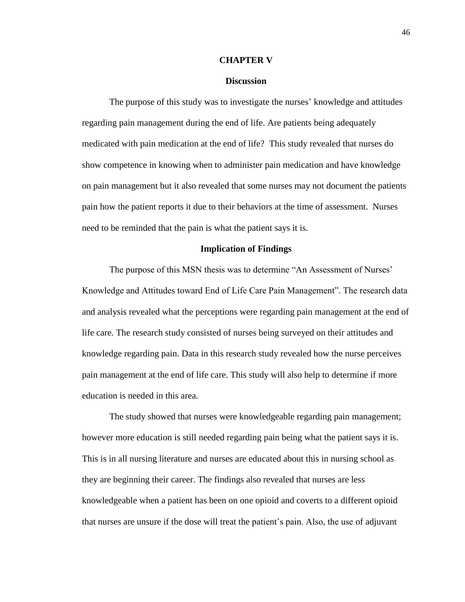#### **CHAPTER V**

## **Discussion**

The purpose of this study was to investigate the nurses' knowledge and attitudes regarding pain management during the end of life. Are patients being adequately medicated with pain medication at the end of life? This study revealed that nurses do show competence in knowing when to administer pain medication and have knowledge on pain management but it also revealed that some nurses may not document the patients pain how the patient reports it due to their behaviors at the time of assessment. Nurses need to be reminded that the pain is what the patient says it is.

## **Implication of Findings**

The purpose of this MSN thesis was to determine "An Assessment of Nurses' Knowledge and Attitudes toward End of Life Care Pain Management". The research data and analysis revealed what the perceptions were regarding pain management at the end of life care. The research study consisted of nurses being surveyed on their attitudes and knowledge regarding pain. Data in this research study revealed how the nurse perceives pain management at the end of life care. This study will also help to determine if more education is needed in this area.

The study showed that nurses were knowledgeable regarding pain management; however more education is still needed regarding pain being what the patient says it is. This is in all nursing literature and nurses are educated about this in nursing school as they are beginning their career. The findings also revealed that nurses are less knowledgeable when a patient has been on one opioid and coverts to a different opioid that nurses are unsure if the dose will treat the patient's pain. Also, the use of adjuvant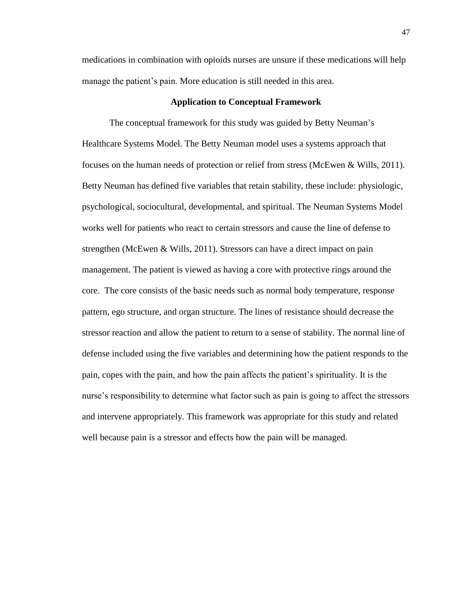medications in combination with opioids nurses are unsure if these medications will help manage the patient's pain. More education is still needed in this area.

# **Application to Conceptual Framework**

The conceptual framework for this study was guided by Betty Neuman's Healthcare Systems Model. The Betty Neuman model uses a systems approach that focuses on the human needs of protection or relief from stress (McEwen & Wills, 2011). Betty Neuman has defined five variables that retain stability, these include: physiologic, psychological, sociocultural, developmental, and spiritual. The Neuman Systems Model works well for patients who react to certain stressors and cause the line of defense to strengthen (McEwen & Wills, 2011). Stressors can have a direct impact on pain management. The patient is viewed as having a core with protective rings around the core. The core consists of the basic needs such as normal body temperature, response pattern, ego structure, and organ structure. The lines of resistance should decrease the stressor reaction and allow the patient to return to a sense of stability. The normal line of defense included using the five variables and determining how the patient responds to the pain, copes with the pain, and how the pain affects the patient's spirituality. It is the nurse's responsibility to determine what factor such as pain is going to affect the stressors and intervene appropriately. This framework was appropriate for this study and related well because pain is a stressor and effects how the pain will be managed.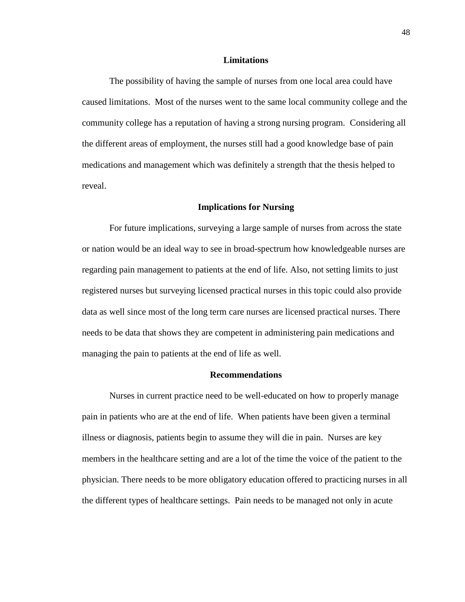### **Limitations**

The possibility of having the sample of nurses from one local area could have caused limitations. Most of the nurses went to the same local community college and the community college has a reputation of having a strong nursing program. Considering all the different areas of employment, the nurses still had a good knowledge base of pain medications and management which was definitely a strength that the thesis helped to reveal.

#### **Implications for Nursing**

For future implications, surveying a large sample of nurses from across the state or nation would be an ideal way to see in broad-spectrum how knowledgeable nurses are regarding pain management to patients at the end of life. Also, not setting limits to just registered nurses but surveying licensed practical nurses in this topic could also provide data as well since most of the long term care nurses are licensed practical nurses. There needs to be data that shows they are competent in administering pain medications and managing the pain to patients at the end of life as well.

# **Recommendations**

Nurses in current practice need to be well-educated on how to properly manage pain in patients who are at the end of life. When patients have been given a terminal illness or diagnosis, patients begin to assume they will die in pain. Nurses are key members in the healthcare setting and are a lot of the time the voice of the patient to the physician. There needs to be more obligatory education offered to practicing nurses in all the different types of healthcare settings. Pain needs to be managed not only in acute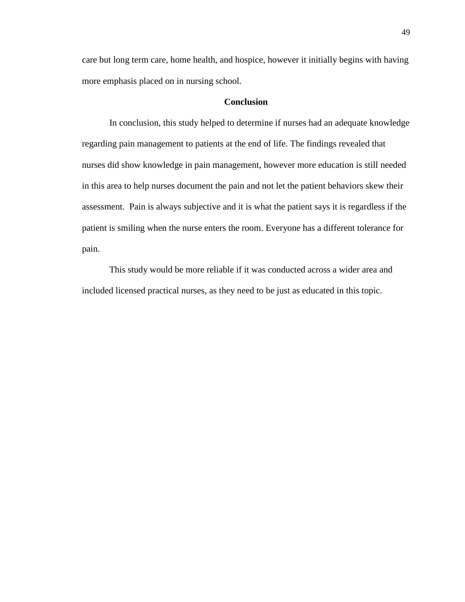care but long term care, home health, and hospice, however it initially begins with having more emphasis placed on in nursing school.

# **Conclusion**

In conclusion, this study helped to determine if nurses had an adequate knowledge regarding pain management to patients at the end of life. The findings revealed that nurses did show knowledge in pain management, however more education is still needed in this area to help nurses document the pain and not let the patient behaviors skew their assessment. Pain is always subjective and it is what the patient says it is regardless if the patient is smiling when the nurse enters the room. Everyone has a different tolerance for pain.

This study would be more reliable if it was conducted across a wider area and included licensed practical nurses, as they need to be just as educated in this topic.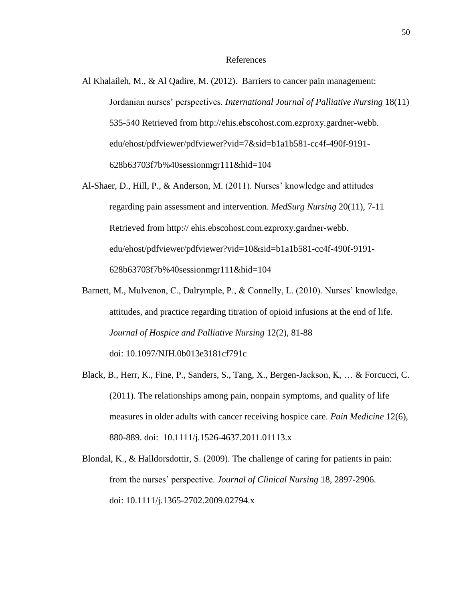#### References

- Al Khalaileh, M., & Al Qadire, M. (2012). Barriers to cancer pain management: Jordanian nurses' perspectives. *International Journal of Palliative Nursing* 18(11) 535-540 Retrieved from http://ehis.ebscohost.com.ezproxy.gardner-webb. edu/ehost/pdfviewer/pdfviewer?vid=7&sid=b1a1b581-cc4f-490f-9191- 628b63703f7b%40sessionmgr111&hid=104
- Al-Shaer, D., Hill, P., & Anderson, M. (2011). Nurses' knowledge and attitudes regarding pain assessment and intervention. *MedSurg Nursing* 20(11), 7-11 Retrieved from http:// ehis.ebscohost.com.ezproxy.gardner-webb. edu/ehost/pdfviewer/pdfviewer?vid=10&sid=b1a1b581-cc4f-490f-9191- 628b63703f7b%40sessionmgr111&hid=104
- Barnett, M., Mulvenon, C., Dalrymple, P., & Connelly, L. (2010). Nurses' knowledge, attitudes, and practice regarding titration of opioid infusions at the end of life. *Journal of Hospice and Palliative Nursing* 12(2), 81-88 doi: 10.1097/NJH.0b013e3181cf791c
- Black, B., Herr, K., Fine, P., Sanders, S., Tang, X., Bergen-Jackson, K, … & Forcucci, C. (2011). The relationships among pain, nonpain symptoms, and quality of life measures in older adults with cancer receiving hospice care. *Pain Medicine* 12(6), 880-889. doi: 10.1111/j.1526-4637.2011.01113.x
- Blondal, K., & Halldorsdottir, S. (2009). The challenge of caring for patients in pain: from the nurses' perspective. *Journal of Clinical Nursing* 18, 2897-2906. doi: 10.1111/j.1365-2702.2009.02794.x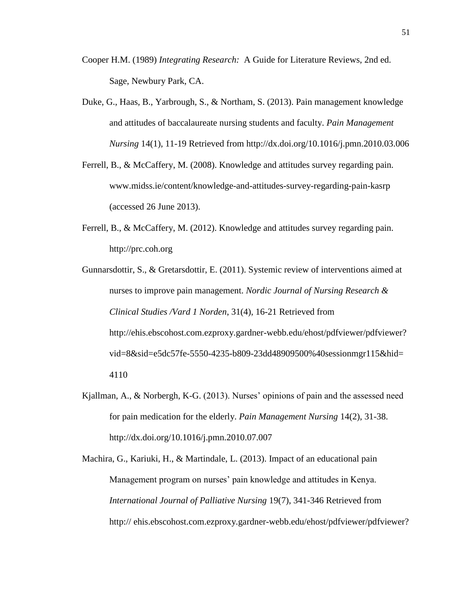- Cooper H.M. (1989) *Integrating Research:* A Guide for Literature Reviews, 2nd ed. Sage, Newbury Park, CA.
- Duke, G., Haas, B., Yarbrough, S., & Northam, S. (2013). Pain management knowledge and attitudes of baccalaureate nursing students and faculty. *Pain Management Nursing* 14(1), 11-19 Retrieved from http://dx.doi.org/10.1016/j.pmn.2010.03.006
- Ferrell, B., & McCaffery, M. (2008). Knowledge and attitudes survey regarding pain. www.midss.ie/content/knowledge-and-attitudes-survey-regarding-pain-kasrp (accessed 26 June 2013).
- Ferrell, B., & McCaffery, M. (2012). Knowledge and attitudes survey regarding pain. http://prc.coh.org
- Gunnarsdottir, S., & Gretarsdottir, E. (2011). Systemic review of interventions aimed at nurses to improve pain management. *Nordic Journal of Nursing Research & Clinical Studies /Vard 1 Norden*, 31(4), 16-21 Retrieved from http://ehis.ebscohost.com.ezproxy.gardner-webb.edu/ehost/pdfviewer/pdfviewer? vid=8&sid=e5dc57fe-5550-4235-b809-23dd48909500%40sessionmgr115&hid= 4110
- Kjallman, A., & Norbergh, K-G. (2013). Nurses' opinions of pain and the assessed need for pain medication for the elderly. *Pain Management Nursing* 14(2), 31-38. http://dx.doi.org/10.1016/j.pmn.2010.07.007
- Machira, G., Kariuki, H., & Martindale, L. (2013). Impact of an educational pain Management program on nurses' pain knowledge and attitudes in Kenya. *International Journal of Palliative Nursing* 19(7), 341-346 Retrieved from http:// ehis.ebscohost.com.ezproxy.gardner-webb.edu/ehost/pdfviewer/pdfviewer?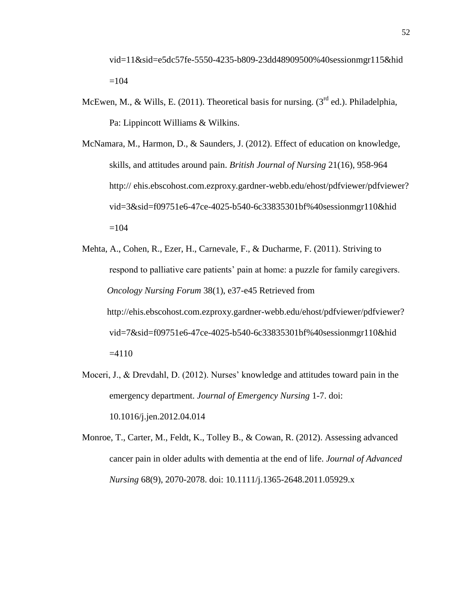vid=11&sid=e5dc57fe-5550-4235-b809-23dd48909500%40sessionmgr115&hid  $=104$ 

- McEwen, M., & Wills, E. (2011). Theoretical basis for nursing. ( $3<sup>rd</sup>$  ed.). Philadelphia, Pa: Lippincott Williams & Wilkins.
- McNamara, M., Harmon, D., & Saunders, J. (2012). Effect of education on knowledge, skills, and attitudes around pain. *British Journal of Nursing* 21(16), 958-964 http:// ehis.ebscohost.com.ezproxy.gardner-webb.edu/ehost/pdfviewer/pdfviewer? vid=3&sid=f09751e6-47ce-4025-b540-6c33835301bf%40sessionmgr110&hid  $=104$
- Mehta, A., Cohen, R., Ezer, H., Carnevale, F., & Ducharme, F. (2011). Striving to respond to palliative care patients' pain at home: a puzzle for family caregivers. *Oncology Nursing Forum* 38(1), e37-e45 Retrieved from http://ehis.ebscohost.com.ezproxy.gardner-webb.edu/ehost/pdfviewer/pdfviewer? vid=7&sid=f09751e6-47ce-4025-b540-6c33835301bf%40sessionmgr110&hid  $=4110$
- Moceri, J., & Drevdahl, D. (2012). Nurses' knowledge and attitudes toward pain in the emergency department. *Journal of Emergency Nursing* 1-7. doi: 10.1016/j.jen.2012.04.014
- Monroe, T., Carter, M., Feldt, K., Tolley B., & Cowan, R. (2012). Assessing advanced cancer pain in older adults with dementia at the end of life. *Journal of Advanced Nursing* 68(9), 2070-2078. doi: 10.1111/j.1365-2648.2011.05929.x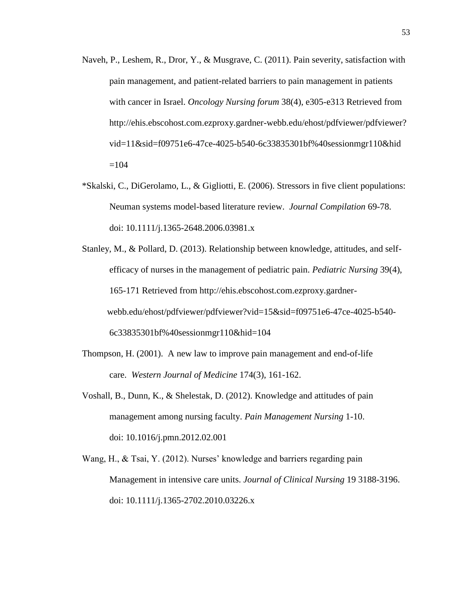- Naveh, P., Leshem, R., Dror, Y., & Musgrave, C. (2011). Pain severity, satisfaction with pain management, and patient-related barriers to pain management in patients with cancer in Israel. *Oncology Nursing forum* 38(4), e305-e313 Retrieved from http://ehis.ebscohost.com.ezproxy.gardner-webb.edu/ehost/pdfviewer/pdfviewer? vid=11&sid=f09751e6-47ce-4025-b540-6c33835301bf%40sessionmgr110&hid  $=104$
- \*Skalski, C., DiGerolamo, L., & Gigliotti, E. (2006). Stressors in five client populations: Neuman systems model-based literature review. *Journal Compilation* 69-78. doi: 10.1111/j.1365-2648.2006.03981.x
- Stanley, M., & Pollard, D. (2013). Relationship between knowledge, attitudes, and selfefficacy of nurses in the management of pediatric pain. *Pediatric Nursing* 39(4), 165-171 Retrieved from http://ehis.ebscohost.com.ezproxy.gardnerwebb.edu/ehost/pdfviewer/pdfviewer?vid=15&sid=f09751e6-47ce-4025-b540- 6c33835301bf%40sessionmgr110&hid=104
- Thompson, H. (2001). A new law to improve pain management and end-of-life care. *Western Journal of Medicine* 174(3), 161-162.
- Voshall, B., Dunn, K., & Shelestak, D. (2012). Knowledge and attitudes of pain management among nursing faculty. *Pain Management Nursing* 1-10. doi: 10.1016/j.pmn.2012.02.001
- Wang, H., & Tsai, Y. (2012). Nurses' knowledge and barriers regarding pain Management in intensive care units. *Journal of Clinical Nursing* 19 3188-3196. doi: 10.1111/j.1365-2702.2010.03226.x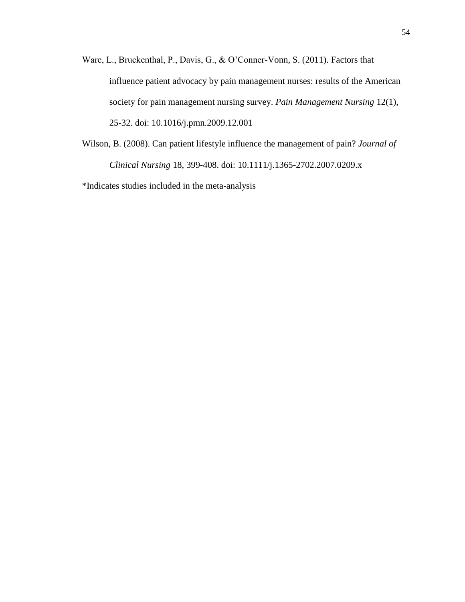- Ware, L., Bruckenthal, P., Davis, G., & O'Conner-Vonn, S. (2011). Factors that influence patient advocacy by pain management nurses: results of the American society for pain management nursing survey. *Pain Management Nursing* 12(1), 25-32. doi: 10.1016/j.pmn.2009.12.001
- Wilson, B. (2008). Can patient lifestyle influence the management of pain? *Journal of Clinical Nursing* 18, 399-408. doi: 10.1111/j.1365-2702.2007.0209.x

\*Indicates studies included in the meta-analysis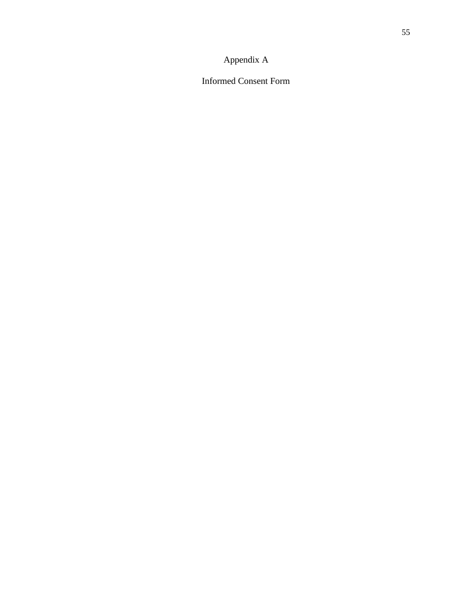# Appendix A

Informed Consent Form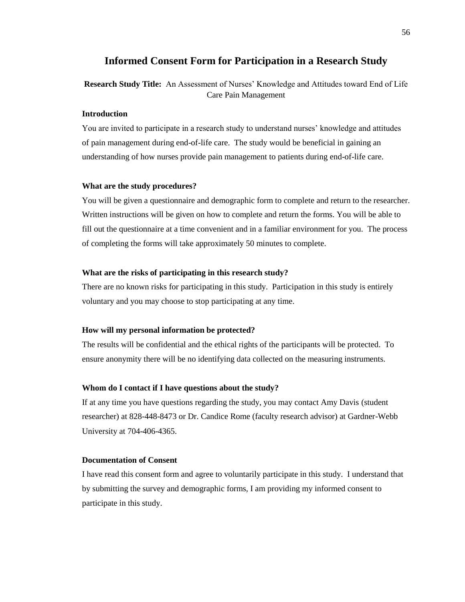# **Informed Consent Form for Participation in a Research Study**

**Research Study Title:** An Assessment of Nurses' Knowledge and Attitudes toward End of Life Care Pain Management

### **Introduction**

You are invited to participate in a research study to understand nurses' knowledge and attitudes of pain management during end-of-life care. The study would be beneficial in gaining an understanding of how nurses provide pain management to patients during end-of-life care.

#### **What are the study procedures?**

You will be given a questionnaire and demographic form to complete and return to the researcher. Written instructions will be given on how to complete and return the forms. You will be able to fill out the questionnaire at a time convenient and in a familiar environment for you. The process of completing the forms will take approximately 50 minutes to complete.

#### **What are the risks of participating in this research study?**

There are no known risks for participating in this study. Participation in this study is entirely voluntary and you may choose to stop participating at any time.

#### **How will my personal information be protected?**

The results will be confidential and the ethical rights of the participants will be protected. To ensure anonymity there will be no identifying data collected on the measuring instruments.

#### **Whom do I contact if I have questions about the study?**

If at any time you have questions regarding the study, you may contact Amy Davis (student researcher) at 828-448-8473 or Dr. Candice Rome (faculty research advisor) at Gardner-Webb University at 704-406-4365.

## **Documentation of Consent**

I have read this consent form and agree to voluntarily participate in this study. I understand that by submitting the survey and demographic forms, I am providing my informed consent to participate in this study.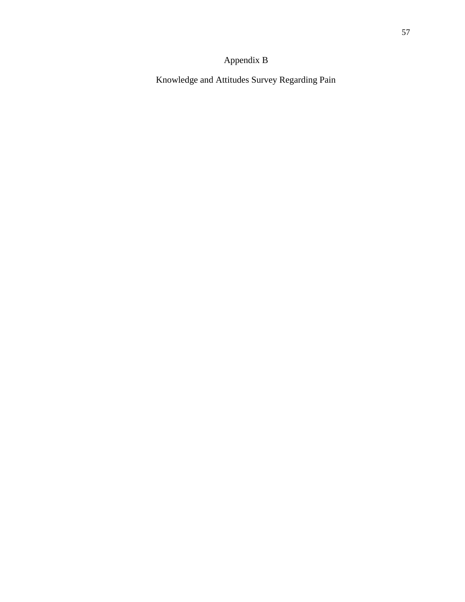# Appendix B

Knowledge and Attitudes Survey Regarding Pain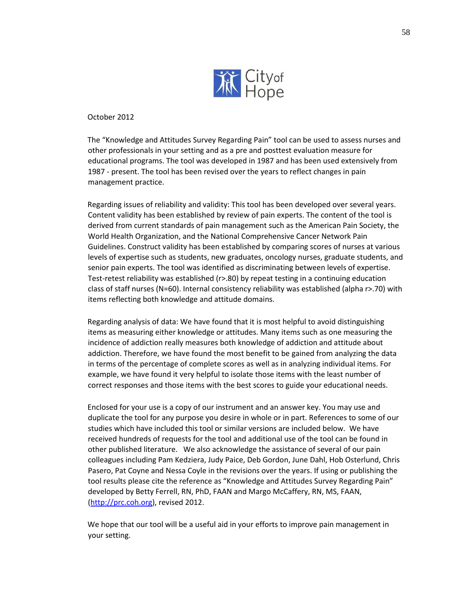

October 2012

The "Knowledge and Attitudes Survey Regarding Pain" tool can be used to assess nurses and other professionals in your setting and as a pre and posttest evaluation measure for educational programs. The tool was developed in 1987 and has been used extensively from 1987 - present. The tool has been revised over the years to reflect changes in pain management practice.

Regarding issues of reliability and validity: This tool has been developed over several years. Content validity has been established by review of pain experts. The content of the tool is derived from current standards of pain management such as the American Pain Society, the World Health Organization, and the National Comprehensive Cancer Network Pain Guidelines. Construct validity has been established by comparing scores of nurses at various levels of expertise such as students, new graduates, oncology nurses, graduate students, and senior pain experts. The tool was identified as discriminating between levels of expertise. Test-retest reliability was established (r>.80) by repeat testing in a continuing education class of staff nurses (N=60). Internal consistency reliability was established (alpha r>.70) with items reflecting both knowledge and attitude domains.

Regarding analysis of data: We have found that it is most helpful to avoid distinguishing items as measuring either knowledge or attitudes. Many items such as one measuring the incidence of addiction really measures both knowledge of addiction and attitude about addiction. Therefore, we have found the most benefit to be gained from analyzing the data in terms of the percentage of complete scores as well as in analyzing individual items. For example, we have found it very helpful to isolate those items with the least number of correct responses and those items with the best scores to guide your educational needs.

Enclosed for your use is a copy of our instrument and an answer key. You may use and duplicate the tool for any purpose you desire in whole or in part. References to some of our studies which have included this tool or similar versions are included below. We have received hundreds of requests for the tool and additional use of the tool can be found in other published literature. We also acknowledge the assistance of several of our pain colleagues including Pam Kedziera, Judy Paice, Deb Gordon, June Dahl, Hob Osterlund, Chris Pasero, Pat Coyne and Nessa Coyle in the revisions over the years. If using or publishing the tool results please cite the reference as "Knowledge and Attitudes Survey Regarding Pain" developed by Betty Ferrell, RN, PhD, FAAN and Margo McCaffery, RN, MS, FAAN, (http://prc.coh.org), revised 2012.

We hope that our tool will be a useful aid in your efforts to improve pain management in your setting.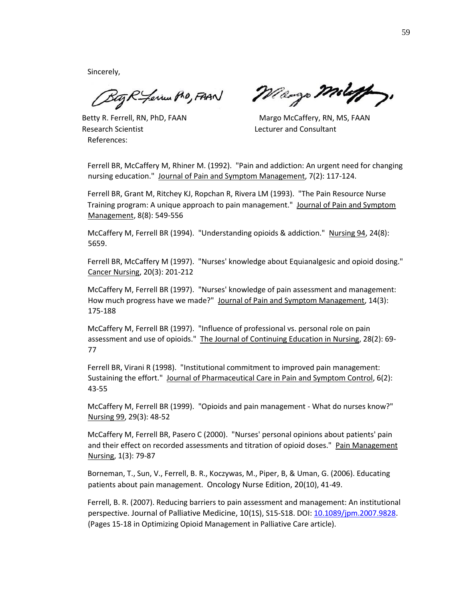Sincerely,

Bag R - Levius Pro, FAAN

Research Scientist Lecturer and Consultant References:

Maryo Moloff,

Betty R. Ferrell, RN, PhD, FAAN MAGE Margo McCaffery, RN, MS, FAAN

Ferrell BR, McCaffery M, Rhiner M. (1992). "Pain and addiction: An urgent need for changing nursing education." Journal of Pain and Symptom Management, 7(2): 117-124.

Ferrell BR, Grant M, Ritchey KJ, Ropchan R, Rivera LM (1993). "The Pain Resource Nurse Training program: A unique approach to pain management." Journal of Pain and Symptom Management, 8(8): 549-556

McCaffery M, Ferrell BR (1994). "Understanding opioids & addiction." Nursing 94, 24(8): 5659.

Ferrell BR, McCaffery M (1997). "Nurses' knowledge about Equianalgesic and opioid dosing." Cancer Nursing, 20(3): 201-212

McCaffery M, Ferrell BR (1997). "Nurses' knowledge of pain assessment and management: How much progress have we made?" Journal of Pain and Symptom Management, 14(3): 175-188

McCaffery M, Ferrell BR (1997). "Influence of professional vs. personal role on pain assessment and use of opioids." The Journal of Continuing Education in Nursing, 28(2): 69- 77

Ferrell BR, Virani R (1998). "Institutional commitment to improved pain management: Sustaining the effort." Journal of Pharmaceutical Care in Pain and Symptom Control, 6(2): 43-55

McCaffery M, Ferrell BR (1999). "Opioids and pain management - What do nurses know?" Nursing 99, 29(3): 48-52

McCaffery M, Ferrell BR, Pasero C (2000). "Nurses' personal opinions about patients' pain and their effect on recorded assessments and titration of opioid doses." Pain Management Nursing, 1(3): 79-87

Borneman, T., Sun, V., Ferrell, B. R., Koczywas, M., Piper, B, & Uman, G. (2006). Educating patients about pain management. Oncology Nurse Edition, 20(10), 41-49.

Ferrell, B. R. (2007). Reducing barriers to pain assessment and management: An institutional perspective. Journal of Palliative Medicine, 10(1S), S15-S18. DOI: 10.1089/jpm.2007.9828. (Pages 15-18 in Optimizing Opioid Management in Palliative Care article).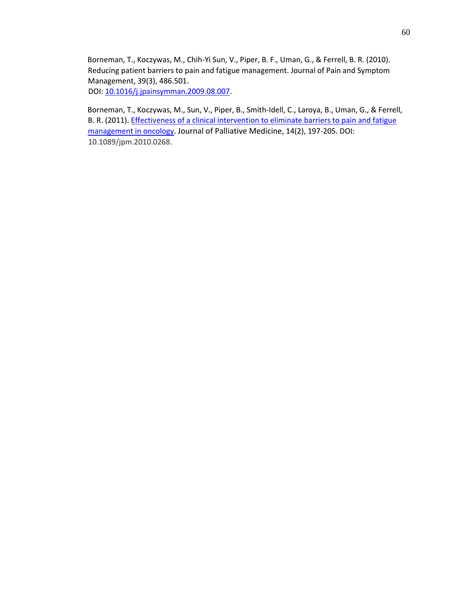Borneman, T., Koczywas, M., Chih-Yi Sun, V., Piper, B. F., Uman, G., & Ferrell, B. R. (2010). Reducing patient barriers to pain and fatigue management. Journal of Pain and Symptom Management, 39(3), 486.501. DOI: 10.1016/j.jpainsymman.2009.08.007.

Borneman, T., Koczywas, M., Sun, V., Piper, B., Smith-Idell, C., Laroya, B., Uman, G., & Ferrell, B. R. (2011). Effectiveness of a clinical intervention to eliminate barriers to pain and fatigue management in oncology. Journal of Palliative Medicine, 14(2), 197-205. DOI: 10.1089/jpm.2010.0268.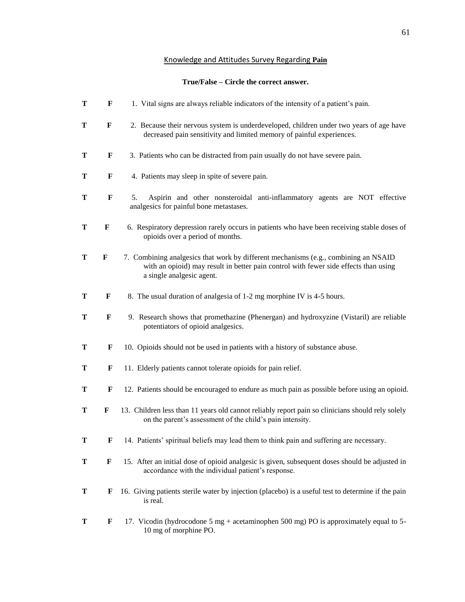# Knowledge and Attitudes Survey Regarding **Pain**

# **True/False – Circle the correct answer.**

| T | F           | 1. Vital signs are always reliable indicators of the intensity of a patient's pain.                                                                                                                      |
|---|-------------|----------------------------------------------------------------------------------------------------------------------------------------------------------------------------------------------------------|
| T | $\mathbf F$ | 2. Because their nervous system is underdeveloped, children under two years of age have<br>decreased pain sensitivity and limited memory of painful experiences.                                         |
| Т | F           | 3. Patients who can be distracted from pain usually do not have severe pain.                                                                                                                             |
| Т | F           | 4. Patients may sleep in spite of severe pain.                                                                                                                                                           |
| Т | F           | Aspirin and other nonsteroidal anti-inflammatory agents are NOT effective<br>5.<br>analgesics for painful bone metastases.                                                                               |
| Т | $\mathbf F$ | 6. Respiratory depression rarely occurs in patients who have been receiving stable doses of<br>opioids over a period of months.                                                                          |
| T | F           | 7. Combining analgesics that work by different mechanisms (e.g., combining an NSAID<br>with an opioid) may result in better pain control with fewer side effects than using<br>a single analgesic agent. |
| Т | F           | 8. The usual duration of analgesia of 1-2 mg morphine IV is 4-5 hours.                                                                                                                                   |
| Т | F           | 9. Research shows that promethazine (Phenergan) and hydroxyzine (Vistaril) are reliable<br>potentiators of opioid analgesics.                                                                            |
| T | F           | 10. Opioids should not be used in patients with a history of substance abuse.                                                                                                                            |
| Т | F           | 11. Elderly patients cannot tolerate opioids for pain relief.                                                                                                                                            |
| Т | F           | 12. Patients should be encouraged to endure as much pain as possible before using an opioid.                                                                                                             |
| Т | F           | 13. Children less than 11 years old cannot reliably report pain so clinicians should rely solely<br>on the parent's assessment of the child's pain intensity.                                            |
| Т | F           | 14. Patients' spiritual beliefs may lead them to think pain and suffering are necessary.                                                                                                                 |
| Т | F           | 15. After an initial dose of opioid analgesic is given, subsequent doses should be adjusted in<br>accordance with the individual patient's response.                                                     |
| Т | F           | 16. Giving patients sterile water by injection (placebo) is a useful test to determine if the pain<br>is real.                                                                                           |
| Т | F           | 17. Vicodin (hydrocodone 5 mg + acetaminophen 500 mg) PO is approximately equal to 5-<br>10 mg of morphine PO.                                                                                           |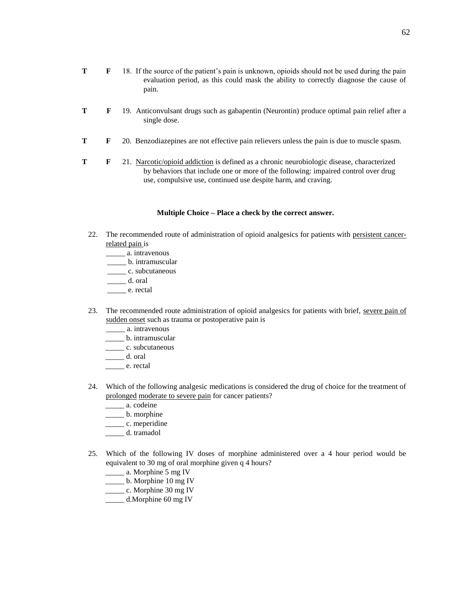- **T F** 19. Anticonvulsant drugs such as gabapentin (Neurontin) produce optimal pain relief after a single dose.
- **T F** 20. Benzodiazepines are not effective pain relievers unless the pain is due to muscle spasm.
- **T F** 21. Narcotic/opioid addiction is defined as a chronic neurobiologic disease, characterized by behaviors that include one or more of the following: impaired control over drug use, compulsive use, continued use despite harm, and craving.

#### **Multiple Choice – Place a check by the correct answer.**

- 22. The recommended route of administration of opioid analgesics for patients with persistent cancerrelated pain is
	- \_\_\_\_\_ a. intravenous
	- \_\_\_\_\_ b. intramuscular
	- \_\_\_\_\_\_\_\_ c. subcutaneous
	- \_\_\_\_\_ d. oral
	- \_\_\_\_\_ e. rectal
- 23. The recommended route administration of opioid analgesics for patients with brief, severe pain of sudden onset such as trauma or postoperative pain is
	- \_\_\_\_\_ a. intravenous
	- \_\_\_\_\_ b. intramuscular
	- \_\_\_\_\_\_\_\_\_ c. subcutaneous
	- \_\_\_\_\_ d. oral
	- \_\_\_\_\_ e. rectal
- 24. Which of the following analgesic medications is considered the drug of choice for the treatment of prolonged moderate to severe pain for cancer patients?
	- \_\_\_\_\_ a. codeine
	- \_\_\_\_\_\_ b. morphine
	- \_\_\_\_\_\_\_\_ c. meperidine
	- \_\_\_\_\_ d. tramadol
- 25. Which of the following IV doses of morphine administered over a 4 hour period would be equivalent to 30 mg of oral morphine given q 4 hours?
	- \_\_\_\_\_\_ a. Morphine 5 mg IV
	- \_\_\_\_\_ b. Morphine 10 mg IV
	- \_\_\_\_\_ c. Morphine 30 mg IV
	- \_\_\_\_\_ d.Morphine 60 mg IV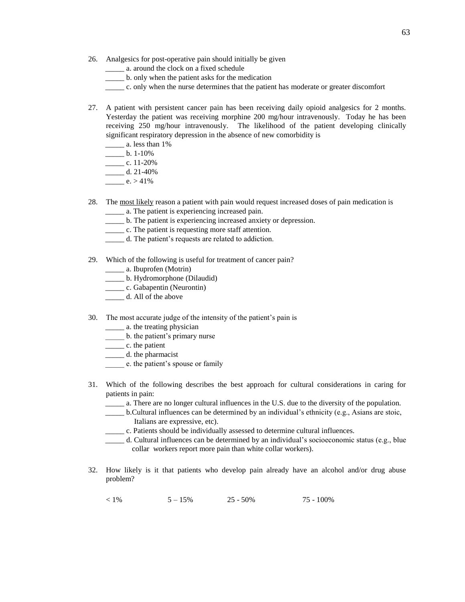- 26. Analgesics for post-operative pain should initially be given
	- \_\_\_\_\_ a. around the clock on a fixed schedule
	- \_\_\_\_\_ b. only when the patient asks for the medication
	- \_\_\_\_\_ c. only when the nurse determines that the patient has moderate or greater discomfort
- 27. A patient with persistent cancer pain has been receiving daily opioid analgesics for 2 months. Yesterday the patient was receiving morphine 200 mg/hour intravenously. Today he has been receiving 250 mg/hour intravenously. The likelihood of the patient developing clinically significant respiratory depression in the absence of new comorbidity is
	- \_\_\_\_\_ a. less than 1%
	- $\frac{1}{2}$  b. 1-10%
	- $\frac{\ }{2}$  c. 11-20%
	- $\frac{d.21-40\%}{d.21-40\%}$
	- $e. > 41\%$
- 28. The most likely reason a patient with pain would request increased doses of pain medication is \_\_\_\_\_ a. The patient is experiencing increased pain.
	- \_\_\_\_\_ b. The patient is experiencing increased anxiety or depression.
	- \_\_\_\_\_ c. The patient is requesting more staff attention.
	- \_\_\_\_\_ d. The patient's requests are related to addiction.
- 29. Which of the following is useful for treatment of cancer pain?
	- \_\_\_\_\_ a. Ibuprofen (Motrin)
	- \_\_\_\_\_ b. Hydromorphone (Dilaudid)
	- \_\_\_\_\_\_\_\_ c. Gabapentin (Neurontin)
	- \_\_\_\_\_\_ d. All of the above
- 30. The most accurate judge of the intensity of the patient's pain is
	- \_\_\_\_\_ a. the treating physician
	- \_\_\_\_\_ b. the patient's primary nurse
	- \_\_\_\_\_ c. the patient
	- \_\_\_\_\_\_\_ d. the pharmacist
	- \_\_\_\_\_ e. the patient's spouse or family
- 31. Which of the following describes the best approach for cultural considerations in caring for patients in pain:
	- \_\_\_\_\_ a. There are no longer cultural influences in the U.S. due to the diversity of the population.
	- \_\_\_\_\_ b.Cultural influences can be determined by an individual's ethnicity (e.g., Asians are stoic, Italians are expressive, etc).
	- \_\_\_\_\_ c. Patients should be individually assessed to determine cultural influences.
	- \_\_\_\_\_ d. Cultural influences can be determined by an individual's socioeconomic status (e.g., blue collar workers report more pain than white collar workers).
- 32. How likely is it that patients who develop pain already have an alcohol and/or drug abuse problem?
	- $\leq 1\%$  5 15% 25 50% 75 100%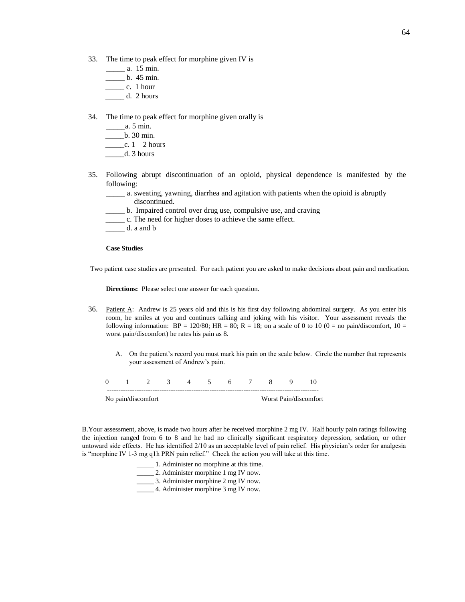- 33. The time to peak effect for morphine given IV is
	- \_\_\_\_\_ a. 15 min.
	- \_\_\_\_\_ b. 45 min.
	- $\frac{c}{1}$  c. 1 hour
	- \_\_\_\_\_ d. 2 hours
- 34. The time to peak effect for morphine given orally is
	- \_\_\_\_\_a. 5 min. \_\_\_\_\_b. 30 min.
	- $\frac{\ }{2}$  =  $\frac{1}{2}$  hours \_\_\_\_\_d. 3 hours
- 35. Following abrupt discontinuation of an opioid, physical dependence is manifested by the following:
	- \_\_\_\_\_ a. sweating, yawning, diarrhea and agitation with patients when the opioid is abruptly discontinued.
	- \_\_\_\_\_ b. Impaired control over drug use, compulsive use, and craving
	- \_\_\_\_\_ c. The need for higher doses to achieve the same effect.
	- $\_\_\_\_\$  d. a and b

## **Case Studies**

Two patient case studies are presented. For each patient you are asked to make decisions about pain and medication.

**Directions:** Please select one answer for each question.

- 36. Patient A: Andrew is 25 years old and this is his first day following abdominal surgery. As you enter his room, he smiles at you and continues talking and joking with his visitor. Your assessment reveals the following information:  $BP = 120/80$ ;  $HR = 80$ ;  $R = 18$ ; on a scale of 0 to 10 (0 = no pain/discomfort, 10 = worst pain/discomfort) he rates his pain as 8.
	- A. On the patient's record you must mark his pain on the scale below. Circle the number that represents your assessment of Andrew's pain.

| 0 1 2 3 4 5 6 7 8 9 |  |  |  |  |                       |
|---------------------|--|--|--|--|-----------------------|
| No pain/discomfort  |  |  |  |  | Worst Pain/discomfort |

B.Your assessment, above, is made two hours after he received morphine 2 mg IV. Half hourly pain ratings following the injection ranged from 6 to 8 and he had no clinically significant respiratory depression, sedation, or other untoward side effects. He has identified 2/10 as an acceptable level of pain relief. His physician's order for analgesia is "morphine IV 1-3 mg q1h PRN pain relief." Check the action you will take at this time.

> \_\_\_\_\_ 1. Administer no morphine at this time. \_\_\_\_\_ 2. Administer morphine 1 mg IV now. \_\_\_\_\_ 3. Administer morphine 2 mg IV now. \_\_\_\_\_ 4. Administer morphine 3 mg IV now.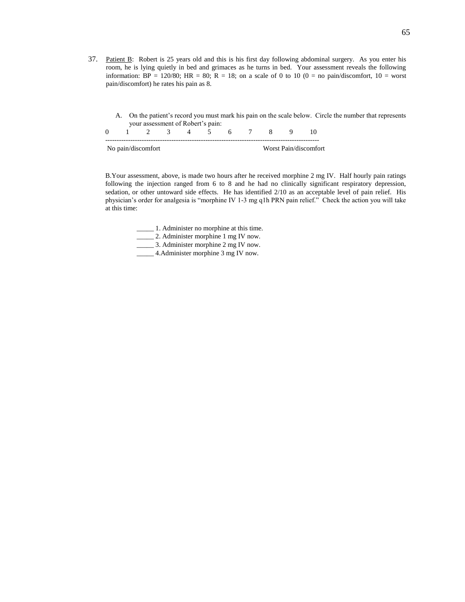37. Patient B: Robert is 25 years old and this is his first day following abdominal surgery. As you enter his room, he is lying quietly in bed and grimaces as he turns in bed. Your assessment reveals the following information:  $BP = 120/80$ ;  $HR = 80$ ;  $R = 18$ ; on a scale of 0 to 10 (0 = no pain/discomfort, 10 = worst pain/discomfort) he rates his pain as 8.

A. On the patient's record you must mark his pain on the scale below. Circle the number that represents your assessment of Robert's pain:

| No pain/discomfort |  |  |  |  |  |  | Worst Pain/discomfort |
|--------------------|--|--|--|--|--|--|-----------------------|

B.Your assessment, above, is made two hours after he received morphine 2 mg IV. Half hourly pain ratings following the injection ranged from 6 to 8 and he had no clinically significant respiratory depression, sedation, or other untoward side effects. He has identified 2/10 as an acceptable level of pain relief. His physician's order for analgesia is "morphine IV 1-3 mg q1h PRN pain relief." Check the action you will take at this time:

\_\_\_\_\_ 1. Administer no morphine at this time.

\_\_\_\_\_ 2. Administer morphine 1 mg IV now.

\_\_\_\_\_ 3. Administer morphine 2 mg IV now.

\_\_\_\_\_ 4.Administer morphine 3 mg IV now.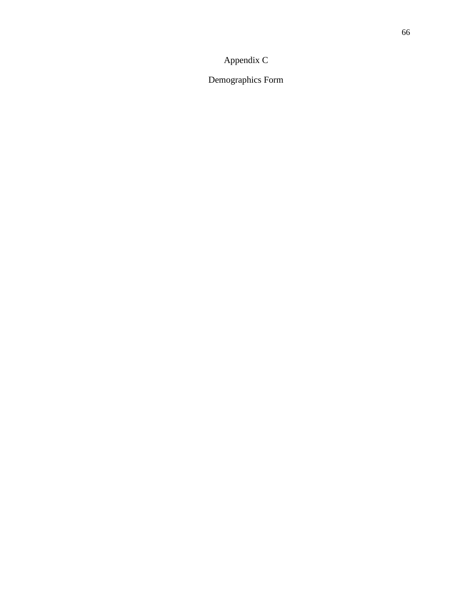## Appendix C

Demographics Form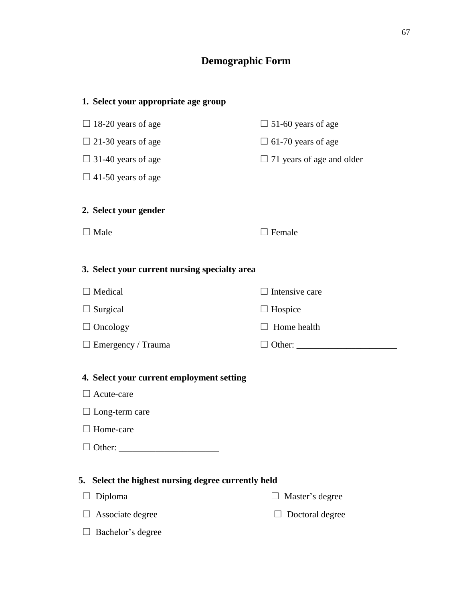## **Demographic Form**

| 1. Select your appropriate age group                           |                                  |
|----------------------------------------------------------------|----------------------------------|
| $\Box$ 18-20 years of age                                      | $\Box$ 51-60 years of age        |
| $\Box$ 21-30 years of age                                      | $\Box$ 61-70 years of age        |
| $\Box$ 31-40 years of age                                      | $\Box$ 71 years of age and older |
| $\Box$ 41-50 years of age                                      |                                  |
| 2. Select your gender                                          |                                  |
| Male                                                           | Female                           |
|                                                                |                                  |
| 3. Select your current nursing specialty area                  |                                  |
| □ Medical                                                      | Intensive care                   |
| $\Box$ Surgical                                                | $\Box$ Hospice                   |
| $\Box$ Oncology                                                | Home health                      |
| $\Box$ Emergency / Trauma                                      |                                  |
|                                                                |                                  |
| 4. Select your current employment setting<br>$\Box$ Acute-care |                                  |
| $\Box$ Long-term care                                          |                                  |
| $\Box$ Home-care                                               |                                  |
|                                                                |                                  |
|                                                                |                                  |
| Select the highest nursing degree currently held<br>5.         |                                  |
| Diploma                                                        | Master's degree                  |
| Associate degree                                               | Doctoral degree                  |
| Bachelor's degree                                              |                                  |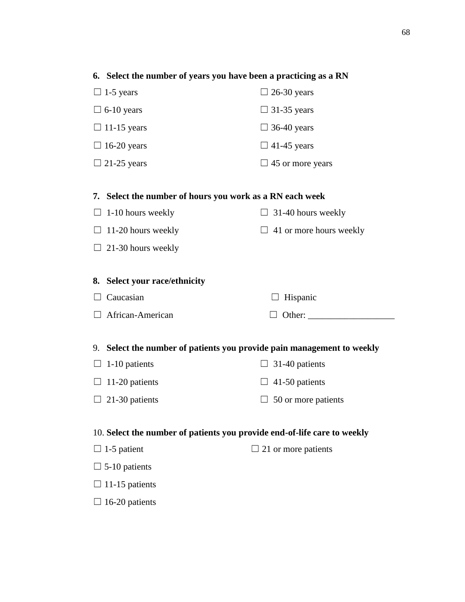| 6. Select the number of years you have been a practicing as a RN         |                                |
|--------------------------------------------------------------------------|--------------------------------|
| $\Box$ 1-5 years                                                         | $\Box$ 26-30 years             |
| $\Box$ 6-10 years                                                        | $\Box$ 31-35 years             |
| $\Box$ 11-15 years                                                       | $\Box$ 36-40 years             |
| $\Box$ 16-20 years                                                       | $\Box$ 41-45 years             |
| $\Box$ 21-25 years                                                       | $\Box$ 45 or more years        |
|                                                                          |                                |
| 7. Select the number of hours you work as a RN each week                 |                                |
| $\Box$ 1-10 hours weekly                                                 | $\Box$ 31-40 hours weekly      |
| $\Box$ 11-20 hours weekly                                                | $\Box$ 41 or more hours weekly |
| $\Box$ 21-30 hours weekly                                                |                                |
|                                                                          |                                |
| 8. Select your race/ethnicity                                            |                                |
| Caucasian                                                                | Hispanic                       |
| African-American                                                         | $\Box$ Other:                  |
|                                                                          |                                |
| 9. Select the number of patients you provide pain management to weekly   |                                |
| 1-10 patients<br>$\Box$                                                  | $\Box$ 31-40 patients          |
| 11-20 patients<br>$\Box$                                                 | $\Box$ 41-50 patients          |
| $\Box$ 21-30 patients                                                    | $\Box$ 50 or more patients     |
|                                                                          |                                |
| 10. Select the number of patients you provide end-of-life care to weekly |                                |
| $\Box$ 1-5 patient                                                       | $\Box$ 21 or more patients     |
| $\Box$ 5-10 patients                                                     |                                |
| $\Box$ 11-15 patients                                                    |                                |

 $\square$  16-20 patients